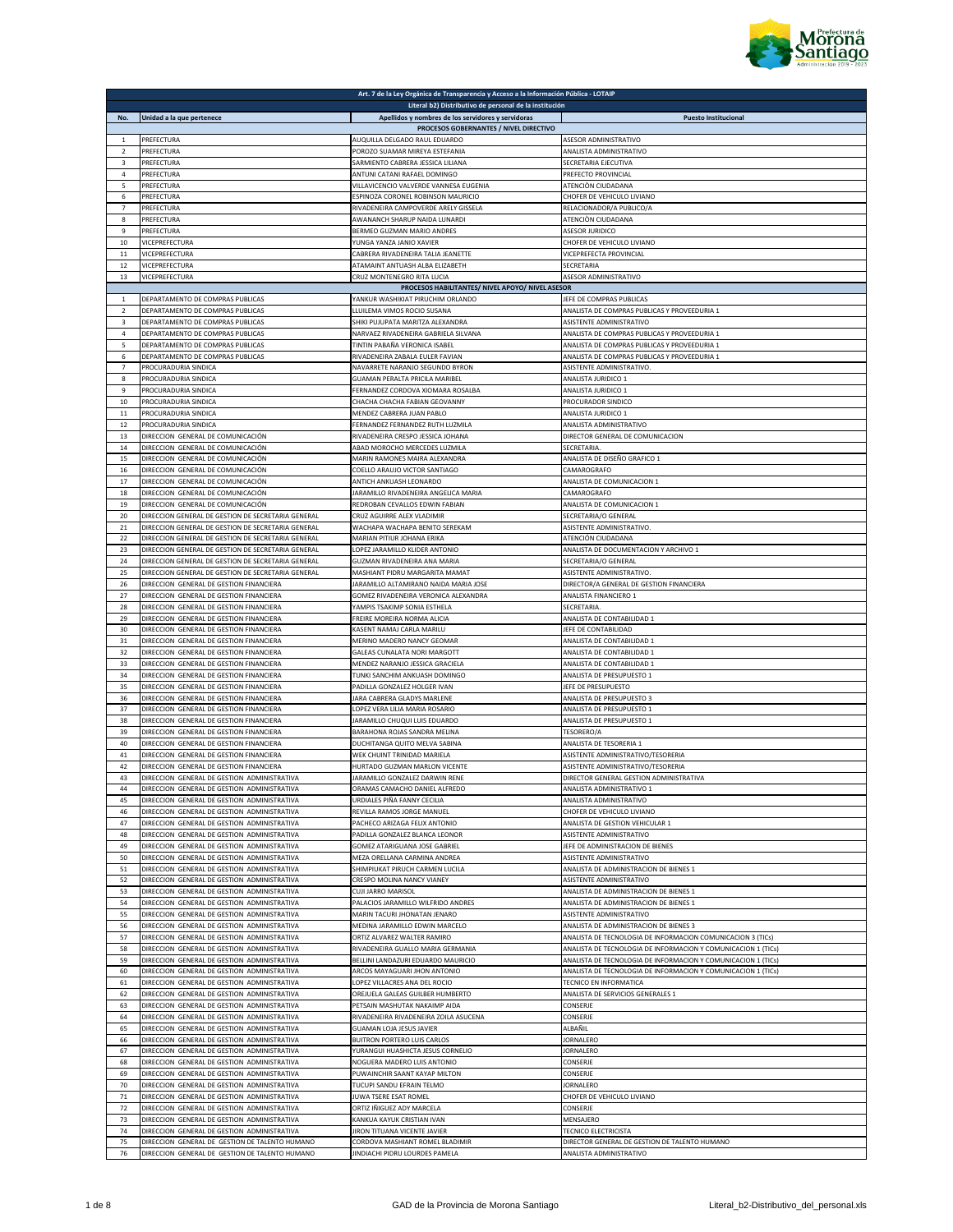

| Apellidos y nombres de los servidores y servidoras<br>No.<br>Unidad a la que pertenece<br>$\mathbf 1$<br>PREFECTURA<br>AUQUILLA DELGADO RAUL EDUARDO<br>PREFECTURA<br>$\overline{2}$<br>POROZO SUAMAR MIREYA ESTEFANIA<br>3<br>PREFECTURA<br>SARMIENTO CABRERA JESSICA LILIANA<br>4<br>PREFECTURA<br>ANTUNI CATANI RAFAEL DOMINGO<br>PREFECTURA<br>VILLAVICENCIO VALVERDE VANNESA EUGENIA<br>5<br>6<br>PREFECTURA<br>ESPINOZA CORONEL ROBINSON MAURICIO<br>PREFECTURA<br>7<br>RIVADENEIRA CAMPOVERDE ARELY GISSELA<br>8<br>PREFECTURA<br>AWANANCH SHARUP NAIDA LUNARDI<br>PREFECTURA<br>BERMEO GUZMAN MARIO ANDRES<br>9<br>10<br>VICEPREFECTURA<br>YUNGA YANZA JANIO XAVIER<br>11<br>VICEPREFECTURA<br>CABRERA RIVADENEIRA TALIA JEANETTE<br>12<br>VICEPREFECTURA<br>ATAMAINT ANTUASH ALBA ELIZABETH | Literal b2) Distributivo de personal de la institución<br><b>Puesto Institucional</b><br>PROCESOS GOBERNANTES / NIVEL DIRECTIVO<br>ASESOR ADMINISTRATIVO<br>ANALISTA ADMINISTRATIVO<br><b>SECRETARIA EJECUTIVA</b><br>PREFECTO PROVINCIAL<br>ATENCIÒN CIUDADANA |
|------------------------------------------------------------------------------------------------------------------------------------------------------------------------------------------------------------------------------------------------------------------------------------------------------------------------------------------------------------------------------------------------------------------------------------------------------------------------------------------------------------------------------------------------------------------------------------------------------------------------------------------------------------------------------------------------------------------------------------------------------------------------------------------------------|-----------------------------------------------------------------------------------------------------------------------------------------------------------------------------------------------------------------------------------------------------------------|
|                                                                                                                                                                                                                                                                                                                                                                                                                                                                                                                                                                                                                                                                                                                                                                                                      |                                                                                                                                                                                                                                                                 |
|                                                                                                                                                                                                                                                                                                                                                                                                                                                                                                                                                                                                                                                                                                                                                                                                      |                                                                                                                                                                                                                                                                 |
|                                                                                                                                                                                                                                                                                                                                                                                                                                                                                                                                                                                                                                                                                                                                                                                                      |                                                                                                                                                                                                                                                                 |
|                                                                                                                                                                                                                                                                                                                                                                                                                                                                                                                                                                                                                                                                                                                                                                                                      |                                                                                                                                                                                                                                                                 |
|                                                                                                                                                                                                                                                                                                                                                                                                                                                                                                                                                                                                                                                                                                                                                                                                      |                                                                                                                                                                                                                                                                 |
|                                                                                                                                                                                                                                                                                                                                                                                                                                                                                                                                                                                                                                                                                                                                                                                                      |                                                                                                                                                                                                                                                                 |
|                                                                                                                                                                                                                                                                                                                                                                                                                                                                                                                                                                                                                                                                                                                                                                                                      |                                                                                                                                                                                                                                                                 |
|                                                                                                                                                                                                                                                                                                                                                                                                                                                                                                                                                                                                                                                                                                                                                                                                      | CHOFER DE VEHICULO LIVIANO                                                                                                                                                                                                                                      |
|                                                                                                                                                                                                                                                                                                                                                                                                                                                                                                                                                                                                                                                                                                                                                                                                      | RELACIONADOR/A PUBLICO/A                                                                                                                                                                                                                                        |
|                                                                                                                                                                                                                                                                                                                                                                                                                                                                                                                                                                                                                                                                                                                                                                                                      | ATENCIÒN CIUDADANA                                                                                                                                                                                                                                              |
|                                                                                                                                                                                                                                                                                                                                                                                                                                                                                                                                                                                                                                                                                                                                                                                                      | <b>ASESOR JURIDICO</b><br>CHOFER DE VEHICULO LIVIANO                                                                                                                                                                                                            |
|                                                                                                                                                                                                                                                                                                                                                                                                                                                                                                                                                                                                                                                                                                                                                                                                      | VICEPREFECTA PROVINCIAL                                                                                                                                                                                                                                         |
|                                                                                                                                                                                                                                                                                                                                                                                                                                                                                                                                                                                                                                                                                                                                                                                                      | SECRETARIA                                                                                                                                                                                                                                                      |
| 13<br>VICEPREFECTURA<br>CRUZ MONTENEGRO RITA LUCIA                                                                                                                                                                                                                                                                                                                                                                                                                                                                                                                                                                                                                                                                                                                                                   | ASESOR ADMINISTRATIVO                                                                                                                                                                                                                                           |
|                                                                                                                                                                                                                                                                                                                                                                                                                                                                                                                                                                                                                                                                                                                                                                                                      | PROCESOS HABILITANTES/ NIVEL APOYO/ NIVEL ASESOR                                                                                                                                                                                                                |
| YANKUR WASHIKIAT PIRUCHIM ORLANDO<br>DEPARTAMENTO DE COMPRAS PUBLICAS<br>1                                                                                                                                                                                                                                                                                                                                                                                                                                                                                                                                                                                                                                                                                                                           | JEFE DE COMPRAS PUBLICAS                                                                                                                                                                                                                                        |
| DEPARTAMENTO DE COMPRAS PUBLICAS<br>LLUILEMA VIMOS ROCIO SUSANA<br>$\overline{2}$                                                                                                                                                                                                                                                                                                                                                                                                                                                                                                                                                                                                                                                                                                                    | ANALISTA DE COMPRAS PUBLICAS Y PROVEEDURIA 1                                                                                                                                                                                                                    |
| 3<br>DEPARTAMENTO DE COMPRAS PUBLICAS<br>SHIKI PUJUPATA MARITZA ALEXANDRA                                                                                                                                                                                                                                                                                                                                                                                                                                                                                                                                                                                                                                                                                                                            | <b>ASISTENTE ADMINISTRATIVO</b>                                                                                                                                                                                                                                 |
| 4<br>DEPARTAMENTO DE COMPRAS PUBLICAS<br>NARVAEZ RIVADENEIRA GABRIELA SILVANA<br>5<br>DEPARTAMENTO DE COMPRAS PUBLICAS<br>TINTIN PABAÑA VERONICA ISABEL                                                                                                                                                                                                                                                                                                                                                                                                                                                                                                                                                                                                                                              | ANALISTA DE COMPRAS PUBLICAS Y PROVEEDURIA 1<br>ANALISTA DE COMPRAS PUBLICAS Y PROVEEDURIA 1                                                                                                                                                                    |
| DEPARTAMENTO DE COMPRAS PUBLICAS<br>RIVADENEIRA ZABALA EULER FAVIAN<br>6                                                                                                                                                                                                                                                                                                                                                                                                                                                                                                                                                                                                                                                                                                                             | ANALISTA DE COMPRAS PUBLICAS Y PROVEEDURIA 1                                                                                                                                                                                                                    |
| PROCURADURIA SINDICA<br>NAVARRETE NARANJO SEGUNDO BYRON<br>$\overline{7}$                                                                                                                                                                                                                                                                                                                                                                                                                                                                                                                                                                                                                                                                                                                            | ASISTENTE ADMINISTRATIVO.                                                                                                                                                                                                                                       |
| 8<br>PROCURADURIA SINDICA<br>GUAMAN PERALTA PRICILA MARIBEI                                                                                                                                                                                                                                                                                                                                                                                                                                                                                                                                                                                                                                                                                                                                          | ANALISTA JURIDICO 1                                                                                                                                                                                                                                             |
| 9<br>PROCURADURIA SINDICA<br>FERNANDEZ CORDOVA XIOMARA ROSALBA                                                                                                                                                                                                                                                                                                                                                                                                                                                                                                                                                                                                                                                                                                                                       | ANALISTA JURIDICO 1                                                                                                                                                                                                                                             |
| CHACHA CHACHA FABIAN GEOVANNY<br>10<br>PROCURADURIA SINDICA                                                                                                                                                                                                                                                                                                                                                                                                                                                                                                                                                                                                                                                                                                                                          | PROCURADOR SINDICO                                                                                                                                                                                                                                              |
| 11<br>MENDEZ CABRERA JUAN PABLO<br>PROCURADURIA SINDICA                                                                                                                                                                                                                                                                                                                                                                                                                                                                                                                                                                                                                                                                                                                                              | ANALISTA JURIDICO 1                                                                                                                                                                                                                                             |
| 12<br>FERNANDEZ FERNANDEZ RUTH LUZMILA<br>PROCURADURIA SINDICA                                                                                                                                                                                                                                                                                                                                                                                                                                                                                                                                                                                                                                                                                                                                       | ANALISTA ADMINISTRATIVO                                                                                                                                                                                                                                         |
| 13<br>DIRECCION GENERAL DE COMUNICACIÓN<br>RIVADENEIRA CRESPO JESSICA JOHANA<br>14                                                                                                                                                                                                                                                                                                                                                                                                                                                                                                                                                                                                                                                                                                                   | DIRECTOR GENERAL DE COMUNICACION<br>SECRETARIA                                                                                                                                                                                                                  |
| DIRECCION GENERAL DE COMUNICACIÓN<br>ABAD MOROCHO MERCEDES LUZMILA<br>15<br>DIRECCION GENERAL DE COMUNICACIÓN<br>MARIN RAMONES MAIRA ALEXANDRA                                                                                                                                                                                                                                                                                                                                                                                                                                                                                                                                                                                                                                                       | ANALISTA DE DISEÑO GRAFICO 1                                                                                                                                                                                                                                    |
| 16<br>DIRECCION GENERAL DE COMUNICACIÓN<br>COELLO ARAUJO VICTOR SANTIAGO                                                                                                                                                                                                                                                                                                                                                                                                                                                                                                                                                                                                                                                                                                                             | CAMAROGRAFO                                                                                                                                                                                                                                                     |
| 17<br>DIRECCION GENERAL DE COMUNICACIÓN<br>ANTICH ANKUASH LEONARDO                                                                                                                                                                                                                                                                                                                                                                                                                                                                                                                                                                                                                                                                                                                                   | ANALISTA DE COMUNICACION 1                                                                                                                                                                                                                                      |
| 18<br>DIRECCION GENERAL DE COMUNICACIÓN<br>JARAMILLO RIVADENEIRA ANGELICA MARIA                                                                                                                                                                                                                                                                                                                                                                                                                                                                                                                                                                                                                                                                                                                      | CAMAROGRAFO                                                                                                                                                                                                                                                     |
| 19<br>DIRECCION GENERAL DE COMUNICACIÓN<br>REDROBAN CEVALLOS EDWIN FABIAN                                                                                                                                                                                                                                                                                                                                                                                                                                                                                                                                                                                                                                                                                                                            | ANALISTA DE COMUNICACION 1                                                                                                                                                                                                                                      |
| 20<br>DIRECCION GENERAL DE GESTION DE SECRETARIA GENERAL<br>CRUZ AGUIRRE ALEX VLADIMIR                                                                                                                                                                                                                                                                                                                                                                                                                                                                                                                                                                                                                                                                                                               | SECRETARIA/O GENERAL                                                                                                                                                                                                                                            |
| 21<br>DIRECCION GENERAL DE GESTION DE SECRETARIA GENERAL<br>WACHAPA WACHAPA BENITO SEREKAM                                                                                                                                                                                                                                                                                                                                                                                                                                                                                                                                                                                                                                                                                                           | ASISTENTE ADMINISTRATIVO.                                                                                                                                                                                                                                       |
| 22<br>DIRECCION GENERAL DE GESTION DE SECRETARIA GENERAL<br>MARIAN PITIUR JOHANA ERIKA<br>23<br>DIRECCION GENERAL DE GESTION DE SECRETARIA GENERAL<br>LOPEZ JARAMILLO KLIDER ANTONIO                                                                                                                                                                                                                                                                                                                                                                                                                                                                                                                                                                                                                 | ATENCIÓN CIUDADANA<br>ANALISTA DE DOCUMENTACION Y ARCHIVO 1                                                                                                                                                                                                     |
| 24<br>DIRECCION GENERAL DE GESTION DE SECRETARIA GENERAL<br>GUZMAN RIVADENEIRA ANA MARIA                                                                                                                                                                                                                                                                                                                                                                                                                                                                                                                                                                                                                                                                                                             | <b>SECRETARIA/O GENERAL</b>                                                                                                                                                                                                                                     |
| 25<br>DIRECCION GENERAL DE GESTION DE SECRETARIA GENERAL<br>MASHIANT PIDRU MARGARITA MAMAT                                                                                                                                                                                                                                                                                                                                                                                                                                                                                                                                                                                                                                                                                                           | ASISTENTE ADMINISTRATIVO.                                                                                                                                                                                                                                       |
| 26<br>DIRECCION GENERAL DE GESTION FINANCIERA<br>JARAMILLO ALTAMIRANO NAIDA MARIA JOSE                                                                                                                                                                                                                                                                                                                                                                                                                                                                                                                                                                                                                                                                                                               | DIRECTOR/A GENERAL DE GESTION FINANCIERA                                                                                                                                                                                                                        |
| 27<br>DIRECCION GENERAL DE GESTION FINANCIERA<br>GOMEZ RIVADENEIRA VERONICA ALEXANDRA                                                                                                                                                                                                                                                                                                                                                                                                                                                                                                                                                                                                                                                                                                                | ANALISTA FINANCIERO 1                                                                                                                                                                                                                                           |
| 28<br>DIRECCION GENERAL DE GESTION FINANCIERA<br>YAMPIS TSAKIMP SONIA ESTHELA                                                                                                                                                                                                                                                                                                                                                                                                                                                                                                                                                                                                                                                                                                                        | SECRETARIA.                                                                                                                                                                                                                                                     |
| 29<br>DIRECCION GENERAL DE GESTION FINANCIERA<br>FREIRE MOREIRA NORMA ALICIA                                                                                                                                                                                                                                                                                                                                                                                                                                                                                                                                                                                                                                                                                                                         | ANALISTA DE CONTABILIDAD 1                                                                                                                                                                                                                                      |
| 30<br>DIRECCION GENERAL DE GESTION FINANCIERA<br>KASENT NAMAJ CARLA MARILU                                                                                                                                                                                                                                                                                                                                                                                                                                                                                                                                                                                                                                                                                                                           | <b>JEFE DE CONTABILIDAD</b>                                                                                                                                                                                                                                     |
| 31<br>DIRECCION GENERAL DE GESTION FINANCIERA<br>MERINO MADERO NANCY GEOMAR<br>32<br>DIRECCION GENERAL DE GESTION FINANCIERA<br>GALEAS CUNALATA NORI MARGOTT                                                                                                                                                                                                                                                                                                                                                                                                                                                                                                                                                                                                                                         | ANALISTA DE CONTABILIDAD 1<br>ANALISTA DE CONTABILIDAD 1                                                                                                                                                                                                        |
| 33<br>DIRECCION GENERAL DE GESTION FINANCIERA<br>MENDEZ NARANJO JESSICA GRACIELA                                                                                                                                                                                                                                                                                                                                                                                                                                                                                                                                                                                                                                                                                                                     | ANALISTA DE CONTABILIDAD 1                                                                                                                                                                                                                                      |
| 34<br>DIRECCION GENERAL DE GESTION FINANCIERA<br>TUNKI SANCHIM ANKUASH DOMINGO                                                                                                                                                                                                                                                                                                                                                                                                                                                                                                                                                                                                                                                                                                                       | ANALISTA DE PRESUPUESTO 1                                                                                                                                                                                                                                       |
| 35<br>DIRECCION GENERAL DE GESTION FINANCIERA<br>PADILLA GONZALEZ HOLGER IVAN                                                                                                                                                                                                                                                                                                                                                                                                                                                                                                                                                                                                                                                                                                                        | EFE DE PRESUPUESTO                                                                                                                                                                                                                                              |
| DIRECCION GENERAL DE GESTION FINANCIERA<br>JARA CABRERA GLADYS MARLENE<br>36                                                                                                                                                                                                                                                                                                                                                                                                                                                                                                                                                                                                                                                                                                                         | ANALISTA DE PRESUPUESTO 3                                                                                                                                                                                                                                       |
| 37<br>DIRECCION GENERAL DE GESTION FINANCIERA<br>LOPEZ VERA LILIA MARIA ROSARIO                                                                                                                                                                                                                                                                                                                                                                                                                                                                                                                                                                                                                                                                                                                      | ANALISTA DE PRESUPUESTO 1                                                                                                                                                                                                                                       |
| 38<br>DIRECCION GENERAL DE GESTION FINANCIERA<br>JARAMILLO CHUQUI LUIS EDUARDO                                                                                                                                                                                                                                                                                                                                                                                                                                                                                                                                                                                                                                                                                                                       | ANALISTA DE PRESUPUESTO 1                                                                                                                                                                                                                                       |
|                                                                                                                                                                                                                                                                                                                                                                                                                                                                                                                                                                                                                                                                                                                                                                                                      |                                                                                                                                                                                                                                                                 |
| 39<br>DIRECCION GENERAL DE GESTION FINANCIERA<br>BARAHONA ROJAS SANDRA MELINA                                                                                                                                                                                                                                                                                                                                                                                                                                                                                                                                                                                                                                                                                                                        | TESORERO/A                                                                                                                                                                                                                                                      |
| 40<br>DIRECCION GENERAL DE GESTION FINANCIERA<br>DUCHITANGA QUITO MELVA SABINA                                                                                                                                                                                                                                                                                                                                                                                                                                                                                                                                                                                                                                                                                                                       | ANALISTA DE TESORERIA 1                                                                                                                                                                                                                                         |
| 41<br>DIRECCION GENERAL DE GESTION FINANCIERA<br>WEK CHUINT TRINIDAD MARIELA                                                                                                                                                                                                                                                                                                                                                                                                                                                                                                                                                                                                                                                                                                                         | ASISTENTE ADMINISTRATIVO/TESORERIA                                                                                                                                                                                                                              |
| 42<br>DIRECCION GENERAL DE GESTION FINANCIERA<br>HURTADO GUZMAN MARLON VICENTE<br>JARAMILLO GONZALEZ DARWIN RENE<br>43<br>DIRECCION GENERAL DE GESTION ADMINISTRATIVA                                                                                                                                                                                                                                                                                                                                                                                                                                                                                                                                                                                                                                | ASISTENTE ADMINISTRATIVO/TESORERIA<br>DIRECTOR GENERAL GESTION ADMINISTRATIVA                                                                                                                                                                                   |
| 44<br>DIRECCION GENERAL DE GESTION ADMINISTRATIVA<br>ORAMAS CAMACHO DANIEL ALFREDO                                                                                                                                                                                                                                                                                                                                                                                                                                                                                                                                                                                                                                                                                                                   | ANALISTA ADMINISTRATIVO 1                                                                                                                                                                                                                                       |
| 45<br>DIRECCION GENERAL DE GESTION ADMINISTRATIVA<br>URDIALES PIÑA FANNY CECILIA                                                                                                                                                                                                                                                                                                                                                                                                                                                                                                                                                                                                                                                                                                                     | ANALISTA ADMINISTRATIVO                                                                                                                                                                                                                                         |
| 46<br>DIRECCION GENERAL DE GESTION ADMINISTRATIVA<br>REVILLA RAMOS JORGE MANUEL                                                                                                                                                                                                                                                                                                                                                                                                                                                                                                                                                                                                                                                                                                                      | CHOFER DE VEHICULO LIVIANO                                                                                                                                                                                                                                      |
| 47<br>DIRECCION GENERAL DE GESTION ADMINISTRATIVA<br>PACHECO ARIZAGA FELIX ANTONIO                                                                                                                                                                                                                                                                                                                                                                                                                                                                                                                                                                                                                                                                                                                   | ANALISTA DE GESTION VEHICULAR 1                                                                                                                                                                                                                                 |
| 48<br>DIRECCION GENERAL DE GESTION ADMINISTRATIVA<br>PADILLA GONZALEZ BLANCA LEONOR                                                                                                                                                                                                                                                                                                                                                                                                                                                                                                                                                                                                                                                                                                                  | <b>ASISTENTE ADMINISTRATIVO</b>                                                                                                                                                                                                                                 |
| 49<br>DIRECCION GENERAL DE GESTION ADMINISTRATIVA<br>GOMEZ ATARIGUANA JOSE GABRIEL<br>50                                                                                                                                                                                                                                                                                                                                                                                                                                                                                                                                                                                                                                                                                                             | JEFE DE ADMINISTRACION DE BIENES                                                                                                                                                                                                                                |
| DIRECCION GENERAL DE GESTION ADMINISTRATIVA<br>MEZA ORELLANA CARMINA ANDREA<br>DIRECCION GENERAL DE GESTION ADMINISTRATIVA                                                                                                                                                                                                                                                                                                                                                                                                                                                                                                                                                                                                                                                                           | <b>ASISTENTE ADMINISTRATIVO</b>                                                                                                                                                                                                                                 |
| 51<br>SHIMPIUKAT PIRUCH CARMEN LUCILA<br>52<br>DIRECCION GENERAL DE GESTION ADMINISTRATIVA<br>CRESPO MOLINA NANCY VIANEY                                                                                                                                                                                                                                                                                                                                                                                                                                                                                                                                                                                                                                                                             | ANALISTA DE ADMINISTRACION DE BIENES 1<br>ASISTENTE ADMINISTRATIVO                                                                                                                                                                                              |
| 53<br>DIRECCION GENERAL DE GESTION ADMINISTRATIVA<br><b>CUJI JARRO MARISOL</b>                                                                                                                                                                                                                                                                                                                                                                                                                                                                                                                                                                                                                                                                                                                       | ANALISTA DE ADMINISTRACION DE BIENES 1                                                                                                                                                                                                                          |
| 54<br>DIRECCION GENERAL DE GESTION ADMINISTRATIVA<br>PALACIOS JARAMILLO WILFRIDO ANDRES                                                                                                                                                                                                                                                                                                                                                                                                                                                                                                                                                                                                                                                                                                              | ANALISTA DE ADMINISTRACION DE BIENES 1                                                                                                                                                                                                                          |
| 55<br>DIRECCION GENERAL DE GESTION ADMINISTRATIVA<br>MARIN TACURI JHONATAN JENARO                                                                                                                                                                                                                                                                                                                                                                                                                                                                                                                                                                                                                                                                                                                    | ASISTENTE ADMINISTRATIVO                                                                                                                                                                                                                                        |
| 56<br>DIRECCION GENERAL DE GESTION ADMINISTRATIVA<br>MEDINA JARAMILLO EDWIN MARCELO                                                                                                                                                                                                                                                                                                                                                                                                                                                                                                                                                                                                                                                                                                                  | ANALISTA DE ADMINISTRACION DE BIENES 3                                                                                                                                                                                                                          |
| 57<br>DIRECCION GENERAL DE GESTION ADMINISTRATIVA<br>ORTIZ ALVAREZ WALTER RAMIRO                                                                                                                                                                                                                                                                                                                                                                                                                                                                                                                                                                                                                                                                                                                     | ANALISTA DE TECNOLOGIA DE INFORMACION COMUNICACION 3 (TICs)                                                                                                                                                                                                     |
| 58<br>DIRECCION GENERAL DE GESTION ADMINISTRATIVA<br>RIVADENEIRA GUALLO MARIA GERMANIA<br>59<br>DIRECCION GENERAL DE GESTION ADMINISTRATIVA                                                                                                                                                                                                                                                                                                                                                                                                                                                                                                                                                                                                                                                          | ANALISTA DE TECNOLOGIA DE INFORMACION Y COMUNICACION 1 (TICs)                                                                                                                                                                                                   |
| BELLINI LANDAZURI EDUARDO MAURICIO<br>60<br>DIRECCION GENERAL DE GESTION ADMINISTRATIVA<br>ARCOS MAYAGUARI JHON ANTONIO                                                                                                                                                                                                                                                                                                                                                                                                                                                                                                                                                                                                                                                                              | ANALISTA DE TECNOLOGIA DE INFORMACION Y COMUNICACION 1 (TICs)<br>ANALISTA DE TECNOLOGIA DE INFORMACION Y COMUNICACION 1 (TICs)                                                                                                                                  |
| DIRECCION GENERAL DE GESTION ADMINISTRATIVA<br>61<br>LOPEZ VILLACRES ANA DEL ROCIO                                                                                                                                                                                                                                                                                                                                                                                                                                                                                                                                                                                                                                                                                                                   | TECNICO EN INFORMATICA                                                                                                                                                                                                                                          |
| 62<br>OREJUELA GALEAS GUILBER HUMBERTO<br>DIRECCION GENERAL DE GESTION ADMINISTRATIVA                                                                                                                                                                                                                                                                                                                                                                                                                                                                                                                                                                                                                                                                                                                | ANALISTA DE SERVICIOS GENERALES 1                                                                                                                                                                                                                               |
| 63<br>DIRECCION GENERAL DE GESTION ADMINISTRATIVA<br>PETSAIN MASHUTAK NAKAIMP AIDA                                                                                                                                                                                                                                                                                                                                                                                                                                                                                                                                                                                                                                                                                                                   | CONSERJE                                                                                                                                                                                                                                                        |
| 64<br>DIRECCION GENERAL DE GESTION ADMINISTRATIVA<br>RIVADENEIRA RIVADENEIRA ZOILA ASUCENA                                                                                                                                                                                                                                                                                                                                                                                                                                                                                                                                                                                                                                                                                                           | CONSERJE                                                                                                                                                                                                                                                        |
| DIRECCION GENERAL DE GESTION ADMINISTRATIVA<br>GUAMAN LOJA JESUS JAVIER<br>65                                                                                                                                                                                                                                                                                                                                                                                                                                                                                                                                                                                                                                                                                                                        | ALBAÑIL                                                                                                                                                                                                                                                         |
| DIRECCION GENERAL DE GESTION ADMINISTRATIVA<br><b>BUITRON PORTERO LUIS CARLOS</b><br>66                                                                                                                                                                                                                                                                                                                                                                                                                                                                                                                                                                                                                                                                                                              | <b>JORNALERO</b>                                                                                                                                                                                                                                                |
| 67<br>DIRECCION GENERAL DE GESTION ADMINISTRATIVA<br>YURANGUI HUASHICTA JESUS CORNELIO                                                                                                                                                                                                                                                                                                                                                                                                                                                                                                                                                                                                                                                                                                               | <b>JORNALERO</b>                                                                                                                                                                                                                                                |
| 68<br>DIRECCION GENERAL DE GESTION ADMINISTRATIVA<br>NOGUERA MADERO LUIS ANTONIO<br>69<br>PUWAINCHIR SAANT KAYAP MILTON<br>DIRECCION GENERAL DE GESTION ADMINISTRATIVA                                                                                                                                                                                                                                                                                                                                                                                                                                                                                                                                                                                                                               | CONSERJE                                                                                                                                                                                                                                                        |
| 70<br>DIRECCION GENERAL DE GESTION ADMINISTRATIVA<br>TUCUPI SANDU EFRAIN TELMO                                                                                                                                                                                                                                                                                                                                                                                                                                                                                                                                                                                                                                                                                                                       | CONSERJE<br><b>ORNALERO</b>                                                                                                                                                                                                                                     |
| 71<br>DIRECCION GENERAL DE GESTION ADMINISTRATIVA<br>JUWA TSERE ESAT ROMEL                                                                                                                                                                                                                                                                                                                                                                                                                                                                                                                                                                                                                                                                                                                           | CHOFER DE VEHICULO LIVIANO                                                                                                                                                                                                                                      |
| 72<br>DIRECCION GENERAL DE GESTION ADMINISTRATIVA<br>ORTIZ IÑIGUEZ ADY MARCELA                                                                                                                                                                                                                                                                                                                                                                                                                                                                                                                                                                                                                                                                                                                       | CONSERJE                                                                                                                                                                                                                                                        |
| 73<br>DIRECCION GENERAL DE GESTION ADMINISTRATIVA<br>KANKUA KAYUK CRISTIAN IVAN                                                                                                                                                                                                                                                                                                                                                                                                                                                                                                                                                                                                                                                                                                                      | MENSAJERO                                                                                                                                                                                                                                                       |
| 74<br>DIRECCION GENERAL DE GESTION ADMINISTRATIVA<br>JIRON TITUANA VICENTE JAVIER<br>75<br>DIRECCION GENERAL DE GESTION DE TALENTO HUMANO<br>CORDOVA MASHIANT ROMEL BLADIMIR                                                                                                                                                                                                                                                                                                                                                                                                                                                                                                                                                                                                                         | TECNICO ELECTRICISTA<br>DIRECTOR GENERAL DE GESTION DE TALENTO HUMANO                                                                                                                                                                                           |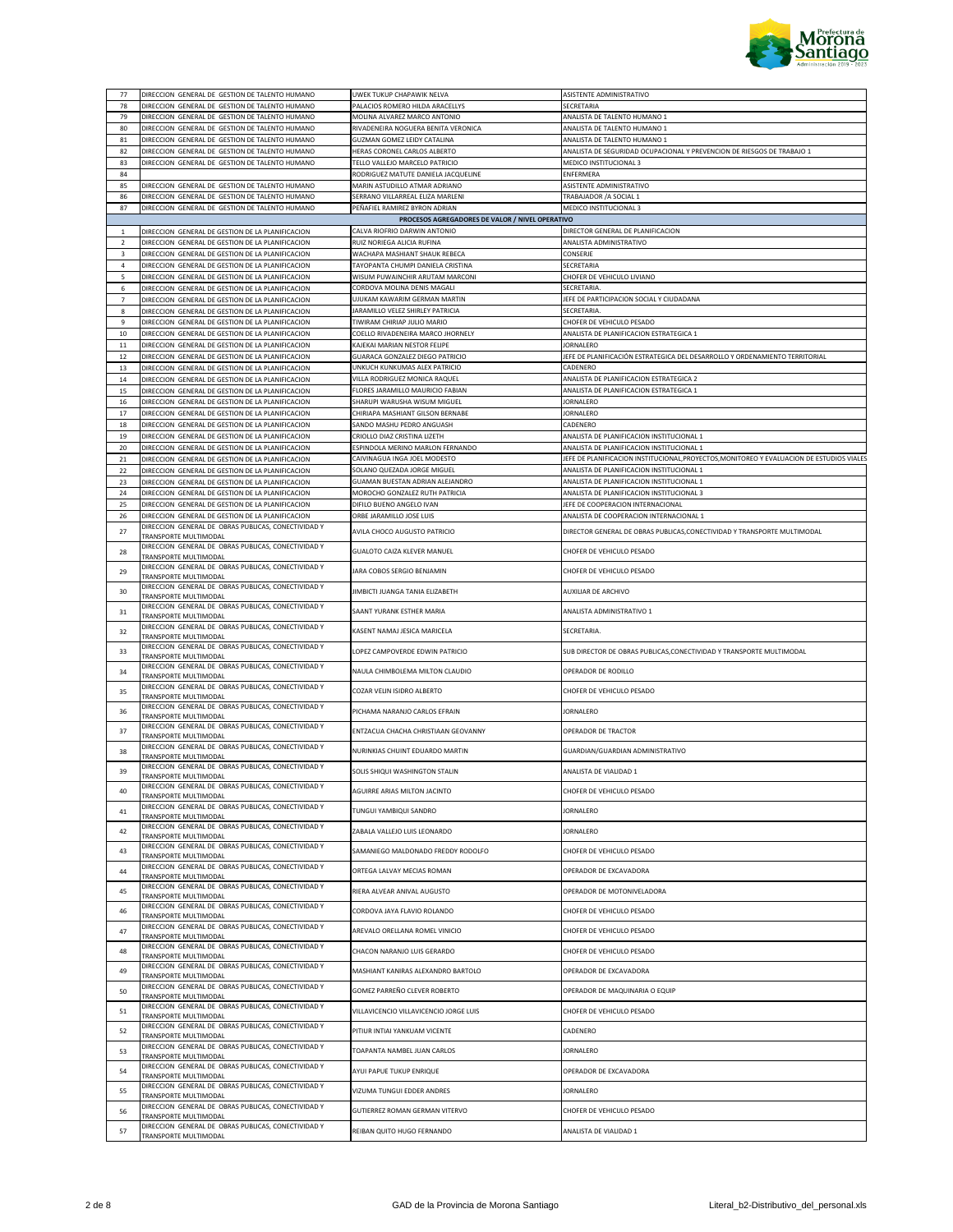

| 77             | DIRECCION GENERAL DE GESTION DE TALENTO HUMANO                               | UWEK TUKUP CHAPAWIK NELVA                       | ASISTENTE ADMINISTRATIVO                                                                  |
|----------------|------------------------------------------------------------------------------|-------------------------------------------------|-------------------------------------------------------------------------------------------|
| 78             | DIRECCION GENERAL DE GESTION DE TALENTO HUMANO                               | PALACIOS ROMERO HILDA ARACELLYS                 | SECRETARIA                                                                                |
| 79             | DIRECCION GENERAL DE GESTION DE TALENTO HUMANO                               | MOLINA ALVAREZ MARCO ANTONIO                    | ANALISTA DE TALENTO HUMANO 1                                                              |
|                | DIRECCION GENERAL DE GESTION DE TALENTO HUMANO                               | RIVADENEIRA NOGUERA BENITA VERONICA             | ANALISTA DE TALENTO HUMANO 1                                                              |
| 80             |                                                                              |                                                 |                                                                                           |
| 81             | DIRECCION GENERAL DE GESTION DE TALENTO HUMANO                               | GUZMAN GOMEZ LEIDY CATALINA                     | ANALISTA DE TALENTO HUMANO 1                                                              |
| 82             | DIRECCION GENERAL DE GESTION DE TALENTO HUMANO                               | HERAS CORONEL CARLOS ALBERTO                    | ANALISTA DE SEGURIDAD OCUPACIONAL Y PREVENCION DE RIESGOS DE TRABAJO 1                    |
| 83             | DIRECCION GENERAL DE GESTION DE TALENTO HUMANO                               | TELLO VALLEJO MARCELO PATRICIO                  | MEDICO INSTITUCIONAL 3                                                                    |
| 84             |                                                                              | RODRIGUEZ MATUTE DANIELA JACQUELINE             | ENFERMERA                                                                                 |
| 85             | DIRECCION GENERAL DE GESTION DE TALENTO HUMANO                               | MARIN ASTUDILLO ATMAR ADRIANO                   | ASISTENTE ADMINISTRATIVO                                                                  |
| 86             | DIRECCION GENERAL DE GESTION DE TALENTO HUMANO                               | SERRANO VILLARREAL ELIZA MARLENI                | TRABAJADOR / A SOCIAL 1                                                                   |
| 87             | DIRECCION GENERAL DE GESTION DE TALENTO HUMANO                               | PEÑAFIEL RAMIREZ BYRON ADRIAN                   | MEDICO INSTITUCIONAL 3                                                                    |
|                |                                                                              | PROCESOS AGREGADORES DE VALOR / NIVEL OPERATIVO |                                                                                           |
| $\mathbf{1}$   | DIRECCION GENERAL DE GESTION DE LA PLANIFICACION                             | CALVA RIOFRIO DARWIN ANTONIO                    | DIRECTOR GENERAL DE PLANIFICACION                                                         |
| $\overline{2}$ | DIRECCION GENERAL DE GESTION DE LA PLANIFICACION                             | RUIZ NORIEGA ALICIA RUFINA                      | ANALISTA ADMINISTRATIVO                                                                   |
| 3              | DIRECCION GENERAL DE GESTION DE LA PLANIFICACION                             | WACHAPA MASHIANT SHAUK REBECA                   | CONSERJE                                                                                  |
| $\overline{4}$ | DIRECCION GENERAL DE GESTION DE LA PLANIFICACION                             | TAYOPANTA CHUMPI DANIELA CRISTINA               | SECRETARIA                                                                                |
| 5              | DIRECCION GENERAL DE GESTION DE LA PLANIFICACION                             | WISUM PUWAINCHIR ARUTAM MARCONI                 | CHOFER DE VEHICULO LIVIANO                                                                |
| 6              | DIRECCION GENERAL DE GESTION DE LA PLANIFICACION                             | CORDOVA MOLINA DENIS MAGALI                     | SECRETARIA                                                                                |
| 7              | DIRECCION GENERAL DE GESTION DE LA PLANIFICACION                             | UJUKAM KAWARIM GERMAN MARTIN                    | JEFE DE PARTICIPACION SOCIAL Y CIUDADANA                                                  |
| 8              | DIRECCION GENERAL DE GESTION DE LA PLANIFICACION                             | JARAMILLO VELEZ SHIRLEY PATRICIA                | SECRETARIA.                                                                               |
| 9              | DIRECCION GENERAL DE GESTION DE LA PLANIFICACION                             | TIWIRAM CHIRIAP JULIO MARIO                     | CHOFER DE VEHICULO PESADO                                                                 |
| 10             | DIRECCION GENERAL DE GESTION DE LA PLANIFICACION                             | COELLO RIVADENEIRA MARCO JHORNELY               | ANALISTA DE PLANIFICACION ESTRATEGICA 1                                                   |
| $11\,$         | DIRECCION GENERAL DE GESTION DE LA PLANIFICACION                             | KAJEKAI MARIAN NESTOR FELIPE                    | <b>JORNALERO</b>                                                                          |
| 12             | DIRECCION GENERAL DE GESTION DE LA PLANIFICACION                             | GUARACA GONZALEZ DIEGO PATRICIO                 | JEFE DE PLANIFICACIÓN ESTRATEGICA DEL DESARROLLO Y ORDENAMIENTO TERRITORIAL               |
| 13             | DIRECCION GENERAL DE GESTION DE LA PLANIFICACION                             | UNKUCH KUNKUMAS ALEX PATRICIO                   | CADENERO                                                                                  |
| $14\,$         | DIRECCION GENERAL DE GESTION DE LA PLANIFICACION                             | VILLA RODRIGUEZ MONICA RAQUEL                   | ANALISTA DE PLANIFICACION ESTRATEGICA 2                                                   |
| 15             | DIRECCION GENERAL DE GESTION DE LA PLANIFICACION                             | FLORES JARAMILLO MAURICIO FABIAN                | ANALISTA DE PLANIFICACION ESTRATEGICA 1                                                   |
| 16             | DIRECCION GENERAL DE GESTION DE LA PLANIFICACION                             | SHARUPI WARUSHA WISUM MIGUEL                    | <b>JORNALERO</b>                                                                          |
| 17             | DIRECCION GENERAL DE GESTION DE LA PLANIFICACION                             | CHIRIAPA MASHIANT GILSON BERNABE                | <b>JORNALERO</b>                                                                          |
| 18             | DIRECCION GENERAL DE GESTION DE LA PLANIFICACION                             | SANDO MASHU PEDRO ANGUASH                       | CADENERO                                                                                  |
| 19             | DIRECCION GENERAL DE GESTION DE LA PLANIFICACION                             | CRIOLLO DIAZ CRISTINA LIZETH                    | ANALISTA DE PLANIFICACION INSTITUCIONAL 1                                                 |
| 20             | DIRECCION GENERAL DE GESTION DE LA PLANIFICACION                             | ESPINDOLA MERINO MARLON FERNANDO                | ANALISTA DE PLANIFICACION INSTITUCIONAL 1                                                 |
| 21             | DIRECCION GENERAL DE GESTION DE LA PLANIFICACION                             | CAIVINAGUA INGA JOEL MODESTO                    | JEFE DE PLANIFICACION INSTITUCIONAL, PROYECTOS, MONITOREO Y EVALUACION DE ESTUDIOS VIALES |
| 22             | DIRECCION GENERAL DE GESTION DE LA PLANIFICACION                             | SOLANO QUEZADA JORGE MIGUEL                     | ANALISTA DE PLANIFICACION INSTITUCIONAL 1                                                 |
| 23             | DIRECCION GENERAL DE GESTION DE LA PLANIFICACION                             | GUAMAN BUESTAN ADRIAN ALEJANDRO                 | ANALISTA DE PLANIFICACION INSTITUCIONAL 1                                                 |
| 24             | DIRECCION GENERAL DE GESTION DE LA PLANIFICACION                             | MOROCHO GONZALEZ RUTH PATRICIA                  | ANALISTA DE PLANIFICACION INSTITUCIONAL 3                                                 |
| 25             | DIRECCION GENERAL DE GESTION DE LA PLANIFICACION                             | DIFILO BUENO ANGELO IVAN                        | JEFE DE COOPERACION INTERNACIONAL                                                         |
| 26             | DIRECCION GENERAL DE GESTION DE LA PLANIFICACION                             | ORBE JARAMILLO JOSE LUIS                        | ANALISTA DE COOPERACION INTERNACIONAL 1                                                   |
| 27             | DIRECCION GENERAL DE OBRAS PUBLICAS, CONECTIVIDAD Y<br>TRANSPORTE MULTIMODAL | AVILA CHOCO AUGUSTO PATRICIO                    | DIRECTOR GENERAL DE OBRAS PUBLICAS, CONECTIVIDAD Y TRANSPORTE MULTIMODAL                  |
|                | DIRECCION GENERAL DE OBRAS PUBLICAS, CONECTIVIDAD Y                          |                                                 |                                                                                           |
| 28             | TRANSPORTE MULTIMODAL                                                        | GUALOTO CAIZA KLEVER MANUEL                     | CHOFER DE VEHICULO PESADO                                                                 |
| 29             | DIRECCION GENERAL DE OBRAS PUBLICAS, CONECTIVIDAD Y                          | JARA COBOS SERGIO BENJAMIN                      | CHOFER DE VEHICULO PESADO                                                                 |
|                | TRANSPORTE MULTIMODAL                                                        |                                                 |                                                                                           |
| 30             | DIRECCION GENERAL DE OBRAS PUBLICAS, CONECTIVIDAD Y<br>TRANSPORTE MULTIMODAL | JIMBICTI JUANGA TANIA ELIZABETH                 | AUXILIAR DE ARCHIVO                                                                       |
|                | DIRECCION GENERAL DE OBRAS PUBLICAS, CONECTIVIDAD Y                          |                                                 |                                                                                           |
| 31             | TRANSPORTE MULTIMODAL                                                        | SAANT YURANK ESTHER MARIA                       | ANALISTA ADMINISTRATIVO 1                                                                 |
| 32             | DIRECCION GENERAL DE OBRAS PUBLICAS, CONECTIVIDAD Y                          | KASENT NAMAJ JESICA MARICELA                    | SECRETARIA.                                                                               |
|                | TRANSPORTE MULTIMODAL<br>DIRECCION GENERAL DE OBRAS PUBLICAS, CONECTIVIDAD Y |                                                 |                                                                                           |
| 33             | TRANSPORTE MULTIMODAL                                                        | LOPEZ CAMPOVERDE EDWIN PATRICIO                 | SUB DIRECTOR DE OBRAS PUBLICAS, CONECTIVIDAD Y TRANSPORTE MULTIMODAL                      |
| 34             | DIRECCION GENERAL DE OBRAS PUBLICAS, CONECTIVIDAD Y<br>TRANSPORTE MULTIMODAL | NAULA CHIMBOLEMA MILTON CLAUDIO                 | OPERADOR DE RODILLO                                                                       |
| 35             | DIRECCION GENERAL DE OBRAS PUBLICAS, CONECTIVIDAD Y<br>TRANSPORTE MULTIMODAL | COZAR VELIN ISIDRO ALBERTO                      | CHOFER DE VEHICULO PESADO                                                                 |
| 36             | DIRECCION GENERAL DE OBRAS PUBLICAS, CONECTIVIDAD Y                          | PICHAMA NARANJO CARLOS EFRAIN                   | <b>JORNALERO</b>                                                                          |
| 37             | TRANSPORTE MULTIMODAL<br>DIRECCION GENERAL DE OBRAS PUBLICAS, CONECTIVIDAD Y | ENTZACUA CHACHA CHRISTIAAN GEOVANNY             | OPERADOR DE TRACTOR                                                                       |
|                | TRANSPORTE MULTIMODAL<br>DIRECCION GENERAL DE OBRAS PUBLICAS, CONECTIVIDAD Y |                                                 |                                                                                           |
| 38             | TRANSPORTE MULTIMODAL                                                        | NURINKIAS CHUINT EDUARDO MARTIN                 | GUARDIAN/GUARDIAN ADMINISTRATIVO                                                          |
| 39             | DIRECCION GENERAL DE OBRAS PUBLICAS, CONECTIVIDAD Y<br>TRANSPORTE MULTIMODAL | SOLIS SHIQUI WASHINGTON STALIN                  | ANALISTA DE VIALIDAD 1                                                                    |
| 40             | DIRECCION GENERAL DE OBRAS PUBLICAS, CONECTIVIDAD Y<br>TRANSPORTE MULTIMODAL | AGUIRRE ARIAS MILTON JACINTO                    | CHOFER DE VEHICULO PESADO                                                                 |
| 41             | DIRECCION GENERAL DE OBRAS PUBLICAS, CONECTIVIDAD Y                          | TUNGUI YAMBIQUI SANDRO                          | JORNALERO                                                                                 |
| 42             | TRANSPORTE MULTIMODAL<br>DIRECCION GENERAL DE OBRAS PUBLICAS, CONECTIVIDAD Y | ZABALA VALLEJO LUIS LEONARDO                    | JORNALERO                                                                                 |
| 43             | TRANSPORTE MULTIMODAL<br>DIRECCION GENERAL DE OBRAS PUBLICAS, CONECTIVIDAD Y | SAMANIEGO MALDONADO FREDDY RODOLFO              | CHOFER DE VEHICULO PESADO                                                                 |
|                | TRANSPORTE MULTIMODAL<br>DIRECCION GENERAL DE OBRAS PUBLICAS, CONECTIVIDAD Y | ORTEGA LALVAY MECIAS ROMAN                      | OPERADOR DE EXCAVADORA                                                                    |
| 44             | TRANSPORTE MULTIMODAL<br>DIRECCION GENERAL DE OBRAS PUBLICAS, CONECTIVIDAD Y |                                                 |                                                                                           |
| 45             | TRANSPORTE MULTIMODAL<br>DIRECCION GENERAL DE OBRAS PUBLICAS, CONECTIVIDAD Y | RIERA ALVEAR ANIVAL AUGUSTO                     | OPERADOR DE MOTONIVELADORA                                                                |
| 46             | TRANSPORTE MULTIMODAL<br>DIRECCION GENERAL DE OBRAS PUBLICAS, CONECTIVIDAD Y | CORDOVA JAYA FLAVIO ROLANDO                     | CHOFER DE VEHICULO PESADO                                                                 |
| 47             | TRANSPORTE MULTIMODAL<br>DIRECCION GENERAL DE OBRAS PUBLICAS, CONECTIVIDAD Y | AREVALO ORELLANA ROMEL VINICIO                  | CHOFER DE VEHICULO PESADO                                                                 |
| 48             | TRANSPORTE MULTIMODAL<br>DIRECCION GENERAL DE OBRAS PUBLICAS, CONECTIVIDAD Y | CHACON NARANJO LUIS GERARDO                     | CHOFER DE VEHICULO PESADO                                                                 |
| 49             | TRANSPORTE MULTIMODAL                                                        | MASHIANT KANIRAS ALEXANDRO BARTOLO              | OPERADOR DE EXCAVADORA                                                                    |
| 50             | DIRECCION GENERAL DE OBRAS PUBLICAS, CONECTIVIDAD Y<br>TRANSPORTE MULTIMODAL | GOMEZ PARREÑO CLEVER ROBERTO                    | OPERADOR DE MAQUINARIA O EQUIP                                                            |
| 51             | DIRECCION GENERAL DE OBRAS PUBLICAS, CONECTIVIDAD Y<br>TRANSPORTE MULTIMODAL | VILLAVICENCIO VILLAVICENCIO JORGE LUIS          | CHOFER DE VEHICULO PESADO                                                                 |
| 52             | DIRECCION GENERAL DE OBRAS PUBLICAS, CONECTIVIDAD Y<br>TRANSPORTE MULTIMODAL | PITIUR INTIAI YANKUAM VICENTE                   | CADENERO                                                                                  |
| 53             | DIRECCION GENERAL DE OBRAS PUBLICAS, CONECTIVIDAD Y<br>TRANSPORTE MULTIMODAL | TOAPANTA NAMBEL JUAN CARLOS                     | JORNALERO                                                                                 |
| 54             | DIRECCION GENERAL DE OBRAS PUBLICAS, CONECTIVIDAD Y<br>TRANSPORTE MULTIMODAL | AYUI PAPUE TUKUP ENRIQUE                        | OPERADOR DE EXCAVADORA                                                                    |
| 55             | DIRECCION GENERAL DE OBRAS PUBLICAS, CONECTIVIDAD Y<br>TRANSPORTE MULTIMODAL | VIZUMA TUNGUI EDDER ANDRES                      | JORNALERO                                                                                 |
| 56             | DIRECCION GENERAL DE OBRAS PUBLICAS, CONECTIVIDAD Y<br>TRANSPORTE MULTIMODAL | GUTIERREZ ROMAN GERMAN VITERVO                  | CHOFER DE VEHICULO PESADO                                                                 |
| 57             | DIRECCION GENERAL DE OBRAS PUBLICAS, CONECTIVIDAD Y<br>TRANSPORTE MULTIMODAL | REIBAN QUITO HUGO FERNANDO                      | ANALISTA DE VIALIDAD 1                                                                    |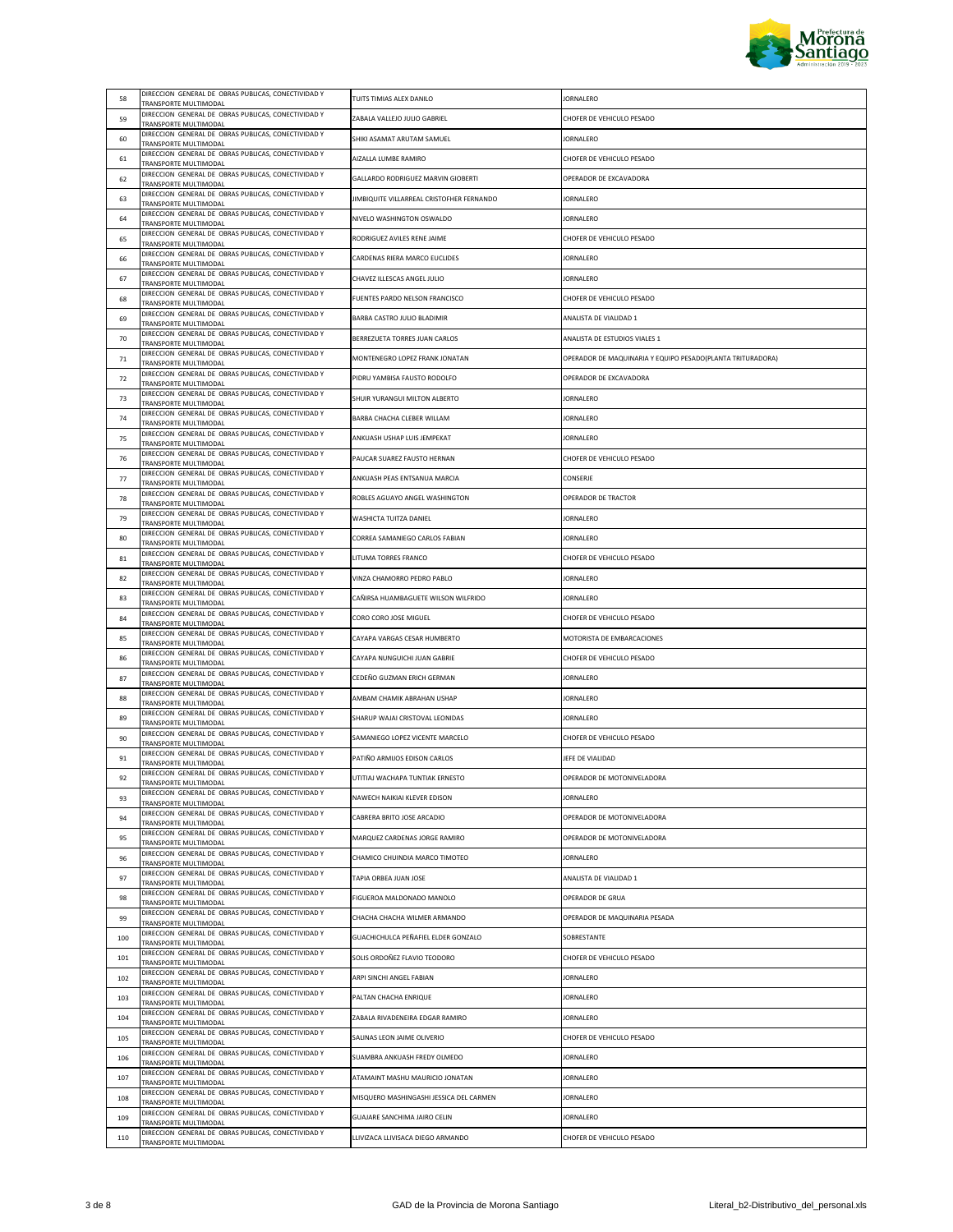

| 58         | DIRECCION GENERAL DE OBRAS PUBLICAS, CONECTIVIDAD Y<br>TRANSPORTE MULTIMODAL | TUITS TIMIAS ALEX DANILO                                                   | <b>JORNALERO</b>                                           |
|------------|------------------------------------------------------------------------------|----------------------------------------------------------------------------|------------------------------------------------------------|
| 59         | DIRECCION GENERAL DE OBRAS PUBLICAS, CONECTIVIDAD Y<br>TRANSPORTE MULTIMODAL | ZABALA VALLEJO JULIO GABRIEL                                               | CHOFER DE VEHICULO PESADO                                  |
| 60         | DIRECCION GENERAL DE OBRAS PUBLICAS, CONECTIVIDAD Y<br>TRANSPORTE MULTIMODAL | SHIKI ASAMAT ARUTAM SAMUEL                                                 | <b>JORNALERO</b>                                           |
| 61         | DIRECCION GENERAL DE OBRAS PUBLICAS, CONECTIVIDAD Y<br>TRANSPORTE MULTIMODAL | AIZALLA LUMBE RAMIRO                                                       | CHOFER DE VEHICULO PESADO                                  |
| 62         | DIRECCION GENERAL DE OBRAS PUBLICAS, CONECTIVIDAD Y<br>TRANSPORTE MULTIMODAL | GALLARDO RODRIGUEZ MARVIN GIOBERTI                                         | OPERADOR DE EXCAVADORA                                     |
| 63         | DIRECCION GENERAL DE OBRAS PUBLICAS, CONECTIVIDAD Y<br>TRANSPORTE MULTIMODAL | JIMBIQUITE VILLARREAL CRISTOFHER FERNANDO                                  | <b>JORNALERO</b>                                           |
| 64         | DIRECCION GENERAL DE OBRAS PUBLICAS, CONECTIVIDAD Y<br>TRANSPORTE MULTIMODAL | NIVELO WASHINGTON OSWALDO                                                  | <b>JORNALERO</b>                                           |
| 65         | DIRECCION GENERAL DE OBRAS PUBLICAS, CONECTIVIDAD Y<br>TRANSPORTE MULTIMODAL | RODRIGUEZ AVILES RENE JAIME                                                | CHOFER DE VEHICULO PESADO                                  |
| 66         | DIRECCION GENERAL DE OBRAS PUBLICAS, CONECTIVIDAD Y<br>TRANSPORTE MULTIMODAL | CARDENAS RIERA MARCO EUCLIDES                                              | JORNALERO                                                  |
| 67         | DIRECCION GENERAL DE OBRAS PUBLICAS, CONECTIVIDAD Y<br>TRANSPORTE MULTIMODAL | CHAVEZ ILLESCAS ANGEL JULIO                                                | <b>JORNALERO</b>                                           |
| 68         | DIRECCION GENERAL DE OBRAS PUBLICAS, CONECTIVIDAD Y<br>TRANSPORTE MULTIMODAL | FUENTES PARDO NELSON FRANCISCO                                             | CHOFER DE VEHICULO PESADO                                  |
| 69         | DIRECCION GENERAL DE OBRAS PUBLICAS, CONECTIVIDAD Y<br>TRANSPORTE MULTIMODAL | BARBA CASTRO JULIO BLADIMIR                                                | ANALISTA DE VIALIDAD 1                                     |
| 70         | DIRECCION GENERAL DE OBRAS PUBLICAS, CONECTIVIDAD Y<br>TRANSPORTE MULTIMODAL | BERREZUETA TORRES JUAN CARLOS                                              | ANALISTA DE ESTUDIOS VIALES 1                              |
| 71         | DIRECCION GENERAL DE OBRAS PUBLICAS, CONECTIVIDAD Y<br>TRANSPORTE MULTIMODAL | MONTENEGRO LOPEZ FRANK JONATAN                                             | OPERADOR DE MAQUINARIA Y EQUIPO PESADO(PLANTA TRITURADORA) |
| 72         | DIRECCION GENERAL DE OBRAS PUBLICAS, CONECTIVIDAD Y<br>TRANSPORTE MULTIMODAL | PIDRU YAMBISA FAUSTO RODOLFO                                               | OPERADOR DE EXCAVADORA                                     |
| 73         | DIRECCION GENERAL DE OBRAS PUBLICAS, CONECTIVIDAD Y<br>TRANSPORTE MULTIMODAL | SHUIR YURANGUI MILTON ALBERTO                                              | <b>JORNALERO</b>                                           |
| 74         | DIRECCION GENERAL DE OBRAS PUBLICAS, CONECTIVIDAD Y                          | BARBA CHACHA CLEBER WILLAM                                                 | <b>JORNALERO</b>                                           |
| 75         | TRANSPORTE MULTIMODAL<br>DIRECCION GENERAL DE OBRAS PUBLICAS, CONECTIVIDAD Y | ANKUASH USHAP LUIS JEMPEKAT                                                | JORNALERO                                                  |
| 76         | TRANSPORTE MULTIMODAL<br>DIRECCION GENERAL DE OBRAS PUBLICAS, CONECTIVIDAD Y | PAUCAR SUAREZ FAUSTO HERNAN                                                | CHOFER DE VEHICULO PESADO                                  |
| 77         | TRANSPORTE MULTIMODAL<br>DIRECCION GENERAL DE OBRAS PUBLICAS, CONECTIVIDAD Y | ANKUASH PEAS ENTSANUA MARCIA                                               | CONSERJE                                                   |
| 78         | TRANSPORTE MULTIMODAL<br>DIRECCION GENERAL DE OBRAS PUBLICAS, CONECTIVIDAD Y | ROBLES AGUAYO ANGEL WASHINGTON                                             | OPERADOR DE TRACTOR                                        |
| 79         | TRANSPORTE MULTIMODAL<br>DIRECCION GENERAL DE OBRAS PUBLICAS, CONECTIVIDAD Y | WASHICTA TUITZA DANIEL                                                     | <b>JORNALERO</b>                                           |
| 80         | TRANSPORTE MULTIMODAL<br>DIRECCION GENERAL DE OBRAS PUBLICAS, CONECTIVIDAD Y | CORREA SAMANIEGO CARLOS FABIAN                                             | <b>JORNALERO</b>                                           |
| 81         | TRANSPORTE MULTIMODAL<br>DIRECCION GENERAL DE OBRAS PUBLICAS, CONECTIVIDAD Y | LITUMA TORRES FRANCO                                                       | CHOFER DE VEHICULO PESADO                                  |
| 82         | TRANSPORTE MULTIMODAL<br>DIRECCION GENERAL DE OBRAS PUBLICAS, CONECTIVIDAD Y | VINZA CHAMORRO PEDRO PABLO                                                 | <b>JORNALERO</b>                                           |
| 83         | TRANSPORTE MULTIMODAL<br>DIRECCION GENERAL DE OBRAS PUBLICAS, CONECTIVIDAD Y | CAÑIRSA HUAMBAGUETE WILSON WILFRIDO                                        | <b>JORNALERO</b>                                           |
| 84         | TRANSPORTE MULTIMODAL<br>DIRECCION GENERAL DE OBRAS PUBLICAS, CONECTIVIDAD Y | CORO CORO JOSE MIGUEL                                                      | CHOFER DE VEHICULO PESADO                                  |
| 85         | TRANSPORTE MULTIMODAL<br>DIRECCION GENERAL DE OBRAS PUBLICAS, CONECTIVIDAD Y | CAYAPA VARGAS CESAR HUMBERTO                                               | MOTORISTA DE EMBARCACIONES                                 |
| 86         | TRANSPORTE MULTIMODAL<br>DIRECCION GENERAL DE OBRAS PUBLICAS, CONECTIVIDAD Y | CAYAPA NUNGUICHI JUAN GABRIE                                               | CHOFER DE VEHICULO PESADO                                  |
| 87         | TRANSPORTE MULTIMODAL<br>DIRECCION GENERAL DE OBRAS PUBLICAS, CONECTIVIDAD Y | CEDEÑO GUZMAN ERICH GERMAN                                                 | <b>JORNALERO</b>                                           |
| 88         | TRANSPORTE MULTIMODAL<br>DIRECCION GENERAL DE OBRAS PUBLICAS, CONECTIVIDAD Y | AMBAM CHAMIK ABRAHAN USHAP                                                 | <b>JORNALERO</b>                                           |
| 89         | TRANSPORTE MULTIMODAL<br>DIRECCION GENERAL DE OBRAS PUBLICAS, CONECTIVIDAD Y | SHARUP WAJAI CRISTOVAL LEONIDAS                                            | JORNALERO                                                  |
| 90         | TRANSPORTE MULTIMODAL<br>DIRECCION GENERAL DE OBRAS PUBLICAS, CONECTIVIDAD Y | SAMANIEGO LOPEZ VICENTE MARCELO                                            | CHOFER DE VEHICULO PESADO                                  |
| 91         | TRANSPORTE MULTIMODAL<br>DIRECCION GENERAL DE OBRAS PUBLICAS, CONECTIVIDAD Y | PATIÑO ARMIJOS EDISON CARLOS                                               | JEFE DE VIALIDAD                                           |
| 92         | TRANSPORTE MULTIMODAL<br>DIRECCION GENERAL DE OBRAS PUBLICAS, CONECTIVIDAD Y | UTITIAJ WACHAPA TUNTIAK ERNESTO                                            | OPERADOR DE MOTONIVELADORA                                 |
| 93         | TRANSPORTE MULTIMODAL<br>DIRECCION GENERAL DE OBRAS PUBLICAS, CONECTIVIDAD Y | NAWECH NAIKIAI KLEVER EDISON                                               | JORNALERO                                                  |
| 94         | TRANSPORTE MULTIMODAL<br>DIRECCION GENERAL DE OBRAS PUBLICAS, CONECTIVIDAD Y | CABRERA BRITO JOSE ARCADIO                                                 | OPERADOR DE MOTONIVELADORA                                 |
| 95         | TRANSPORTE MULTIMODAL<br>DIRECCION GENERAL DE OBRAS PUBLICAS, CONECTIVIDAD Y | MARQUEZ CARDENAS JORGE RAMIRO                                              | OPERADOR DE MOTONIVELADORA                                 |
| 96         | TRANSPORTE MULTIMODAL<br>DIRECCION GENERAL DE OBRAS PUBLICAS, CONECTIVIDAD Y | CHAMICO CHUINDIA MARCO TIMOTEO                                             | <b>JORNALERO</b>                                           |
| 97         | TRANSPORTE MULTIMODAL<br>DIRECCION GENERAL DE OBRAS PUBLICAS, CONECTIVIDAD Y | TAPIA ORBEA JUAN JOSE                                                      | ANALISTA DE VIALIDAD 1                                     |
| 98         | TRANSPORTE MULTIMODAL<br>DIRECCION GENERAL DE OBRAS PUBLICAS, CONECTIVIDAD Y | FIGUEROA MALDONADO MANOLO                                                  | OPERADOR DE GRUA                                           |
| 99         | TRANSPORTE MULTIMODAL<br>DIRECCION GENERAL DE OBRAS PUBLICAS, CONECTIVIDAD Y | CHACHA CHACHA WILMER ARMANDO                                               | OPERADOR DE MAQUINARIA PESADA                              |
| 100        | TRANSPORTE MULTIMODAL<br>DIRECCION GENERAL DE OBRAS PUBLICAS, CONECTIVIDAD Y | GUACHICHULCA PEÑAFIEL ELDER GONZALO                                        | SOBRESTANTE                                                |
| 101        | TRANSPORTE MULTIMODAL<br>DIRECCION GENERAL DE OBRAS PUBLICAS, CONECTIVIDAD Y | SOLIS ORDOÑEZ FLAVIO TEODORO                                               | CHOFER DE VEHICULO PESADO                                  |
| 102        | TRANSPORTE MULTIMODAL<br>DIRECCION GENERAL DE OBRAS PUBLICAS, CONECTIVIDAD Y | ARPI SINCHI ANGEL FABIAN                                                   | <b>JORNALERO</b>                                           |
|            | TRANSPORTE MULTIMODAL<br>DIRECCION GENERAL DE OBRAS PUBLICAS, CONECTIVIDAD Y |                                                                            |                                                            |
| 103<br>104 | TRANSPORTE MULTIMODAL<br>DIRECCION GENERAL DE OBRAS PUBLICAS, CONECTIVIDAD Y | PALTAN CHACHA ENRIQUE<br>ZABALA RIVADENEIRA EDGAR RAMIRO                   | JORNALERO<br><b>JORNALERO</b>                              |
|            | TRANSPORTE MULTIMODAL<br>DIRECCION GENERAL DE OBRAS PUBLICAS, CONECTIVIDAD Y | SALINAS LEON JAIME OLIVERIO                                                | CHOFER DE VEHICULO PESADO                                  |
| 105        | TRANSPORTE MULTIMODAL<br>DIRECCION GENERAL DE OBRAS PUBLICAS, CONECTIVIDAD Y |                                                                            |                                                            |
| 106        | TRANSPORTE MULTIMODAL<br>DIRECCION GENERAL DE OBRAS PUBLICAS, CONECTIVIDAD Y | SUAMBRA ANKUASH FREDY OLMEDO                                               | <b>JORNALERO</b>                                           |
| 107        | TRANSPORTE MULTIMODAL<br>DIRECCION GENERAL DE OBRAS PUBLICAS, CONECTIVIDAD Y | ATAMAINT MASHU MAURICIO JONATAN<br>MISQUERO MASHINGASHI JESSICA DEL CARMEN | JORNALERO<br><b>JORNALERO</b>                              |
| 108        | TRANSPORTE MULTIMODAL<br>DIRECCION GENERAL DE OBRAS PUBLICAS, CONECTIVIDAD Y |                                                                            |                                                            |
| 109        | TRANSPORTE MULTIMODAL<br>DIRECCION GENERAL DE OBRAS PUBLICAS, CONECTIVIDAD Y | GUAJARE SANCHIMA JAIRO CELIN                                               | JORNALERO                                                  |
| 110        | TRANSPORTE MULTIMODAL                                                        | LLIVIZACA LLIVISACA DIEGO ARMANDO                                          | CHOFER DE VEHICULO PESADO                                  |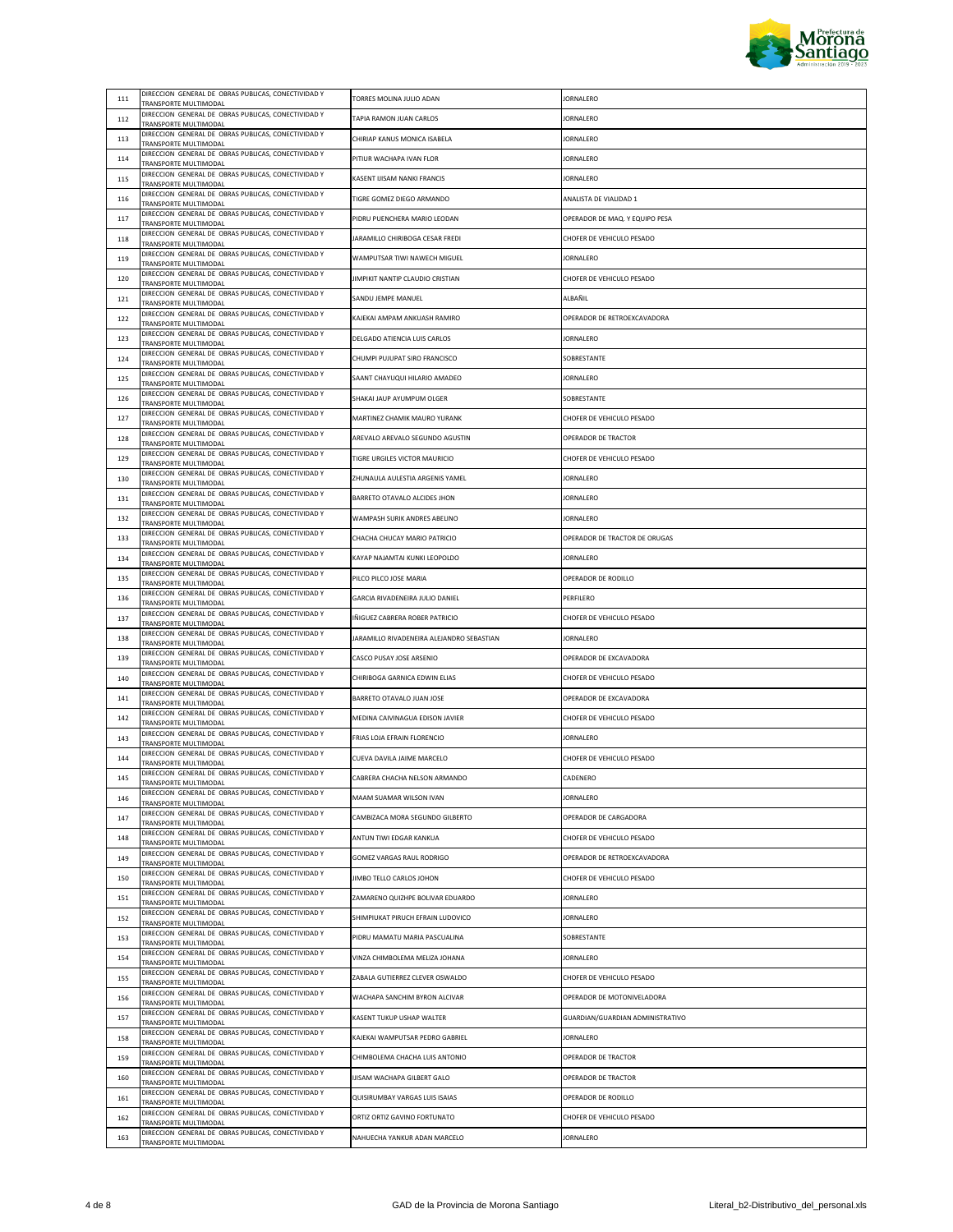

| 111 | DIRECCION GENERAL DE OBRAS PUBLICAS, CONECTIVIDAD Y                                 |                                           |                                  |
|-----|-------------------------------------------------------------------------------------|-------------------------------------------|----------------------------------|
|     | TRANSPORTE MULTIMODAL<br>DIRECCION GENERAL DE OBRAS PUBLICAS, CONECTIVIDAD Y        | TORRES MOLINA JULIO ADAN                  | JORNALERO                        |
| 112 | TRANSPORTE MULTIMODAL                                                               | TAPIA RAMON JUAN CARLOS                   | <b>JORNALERO</b>                 |
| 113 | DIRECCION GENERAL DE OBRAS PUBLICAS, CONECTIVIDAD Y<br>TRANSPORTE MULTIMODAL        | CHIRIAP KANUS MONICA ISABELA              | <b>JORNALERO</b>                 |
| 114 | DIRECCION GENERAL DE OBRAS PUBLICAS, CONECTIVIDAD Y<br>TRANSPORTE MULTIMODAL        | PITIUR WACHAPA IVAN FLOR                  | <b>JORNALERO</b>                 |
| 115 | DIRECCION GENERAL DE OBRAS PUBLICAS, CONECTIVIDAD Y<br>TRANSPORTE MULTIMODAL        | KASENT IJISAM NANKI FRANCIS               | JORNALERO                        |
| 116 | DIRECCION GENERAL DE OBRAS PUBLICAS, CONECTIVIDAD Y<br>TRANSPORTE MULTIMODAL        | TIGRE GOMEZ DIEGO ARMANDO                 | ANALISTA DE VIALIDAD 1           |
| 117 | DIRECCION GENERAL DE OBRAS PUBLICAS, CONECTIVIDAD Y<br>TRANSPORTE MULTIMODAL        | PIDRU PUENCHERA MARIO LEODAN              | OPERADOR DE MAQ. Y EQUIPO PESA   |
| 118 | DIRECCION GENERAL DE OBRAS PUBLICAS, CONECTIVIDAD Y                                 | JARAMILLO CHIRIBOGA CESAR FREDI           | CHOFER DE VEHICULO PESADO        |
| 119 | TRANSPORTE MULTIMODAL<br>DIRECCION GENERAL DE OBRAS PUBLICAS, CONECTIVIDAD Y        | WAMPUTSAR TIWI NAWECH MIGUEL              | <b>JORNALERO</b>                 |
|     | TRANSPORTE MULTIMODAL<br>DIRECCION GENERAL DE OBRAS PUBLICAS, CONECTIVIDAD Y        | JIMPIKIT NANTIP CLAUDIO CRISTIAN          | CHOFER DE VEHICULO PESADO        |
| 120 | TRANSPORTE MULTIMODAL<br>DIRECCION GENERAL DE OBRAS PUBLICAS, CONECTIVIDAD Y        | SANDU JEMPE MANUEL                        | ALBAÑIL                          |
| 121 | TRANSPORTE MULTIMODAL<br>DIRECCION GENERAL DE OBRAS PUBLICAS, CONECTIVIDAD Y        |                                           |                                  |
| 122 | TRANSPORTE MULTIMODAL<br>DIRECCION GENERAL DE OBRAS PUBLICAS, CONECTIVIDAD Y        | KAJEKAI AMPAM ANKUASH RAMIRO              | OPERADOR DE RETROEXCAVADORA      |
| 123 | TRANSPORTE MULTIMODAL<br>DIRECCION GENERAL DE OBRAS PUBLICAS, CONECTIVIDAD Y        | DELGADO ATIENCIA LUIS CARLOS              | <b>JORNALERO</b>                 |
| 124 | TRANSPORTE MULTIMODAL                                                               | CHUMPI PUJUPAT SIRO FRANCISCO             | SOBRESTANTE                      |
| 125 | DIRECCION GENERAL DE OBRAS PUBLICAS, CONECTIVIDAD Y<br>TRANSPORTE MULTIMODAL        | SAANT CHAYUQUI HILARIO AMADEO             | <b>JORNALERO</b>                 |
| 126 | DIRECCION GENERAL DE OBRAS PUBLICAS, CONECTIVIDAD Y<br>TRANSPORTE MULTIMODAL        | SHAKAI JAUP AYUMPUM OLGER                 | SOBRESTANTE                      |
| 127 | DIRECCION GENERAL DE OBRAS PUBLICAS, CONECTIVIDAD Y<br>TRANSPORTE MULTIMODAL        | MARTINEZ CHAMIK MAURO YURANK              | CHOFER DE VEHICULO PESADO        |
| 128 | DIRECCION GENERAL DE OBRAS PUBLICAS, CONECTIVIDAD Y<br>TRANSPORTE MULTIMODAL        | AREVALO AREVALO SEGUNDO AGUSTIN           | OPERADOR DE TRACTOR              |
| 129 | DIRECCION GENERAL DE OBRAS PUBLICAS, CONECTIVIDAD Y<br>TRANSPORTE MULTIMODAL        | TIGRE URGILES VICTOR MAURICIO             | CHOFER DE VEHICULO PESADO        |
| 130 | DIRECCION GENERAL DE OBRAS PUBLICAS, CONECTIVIDAD Y<br>TRANSPORTE MULTIMODAL        | ZHUNAULA AULESTIA ARGENIS YAMEL           | JORNALERO                        |
| 131 | DIRECCION GENERAL DE OBRAS PUBLICAS, CONECTIVIDAD Y<br><b>FRANSPORTE MULTIMODAL</b> | BARRETO OTAVALO ALCIDES JHON              | JORNALERO                        |
| 132 | DIRECCION GENERAL DE OBRAS PUBLICAS, CONECTIVIDAD Y                                 | WAMPASH SURIK ANDRES ABELINO              | <b>JORNALERO</b>                 |
| 133 | TRANSPORTE MULTIMODAL<br>DIRECCION GENERAL DE OBRAS PUBLICAS, CONECTIVIDAD Y        | CHACHA CHUCAY MARIO PATRICIO              | OPERADOR DE TRACTOR DE ORUGAS    |
| 134 | TRANSPORTE MULTIMODAL<br>DIRECCION GENERAL DE OBRAS PUBLICAS, CONECTIVIDAD Y        | KAYAP NAJAMTAI KUNKI LEOPOLDO             | <b>JORNALERO</b>                 |
|     | TRANSPORTE MULTIMODAL<br>DIRECCION GENERAL DE OBRAS PUBLICAS, CONECTIVIDAD Y        |                                           |                                  |
| 135 | TRANSPORTE MULTIMODAL<br>DIRECCION GENERAL DE OBRAS PUBLICAS, CONECTIVIDAD Y        | PILCO PILCO JOSE MARIA                    | OPERADOR DE RODILLO              |
| 136 | TRANSPORTE MULTIMODAL<br>DIRECCION GENERAL DE OBRAS PUBLICAS, CONECTIVIDAD Y        | GARCIA RIVADENEIRA JULIO DANIEL           | PERFILERO                        |
| 137 | TRANSPORTE MULTIMODAL<br>DIRECCION GENERAL DE OBRAS PUBLICAS, CONECTIVIDAD Y        | IÑIGUEZ CABRERA ROBER PATRICIO            | CHOFER DE VEHICULO PESADO        |
| 138 | TRANSPORTE MULTIMODAL                                                               | JARAMILLO RIVADENEIRA ALEJANDRO SEBASTIAN | <b>JORNALERO</b>                 |
| 139 | DIRECCION GENERAL DE OBRAS PUBLICAS, CONECTIVIDAD Y<br>TRANSPORTE MULTIMODAL        | CASCO PUSAY JOSE ARSENIO                  | OPERADOR DE EXCAVADORA           |
| 140 | DIRECCION GENERAL DE OBRAS PUBLICAS, CONECTIVIDAD Y<br>TRANSPORTE MULTIMODAL        | CHIRIBOGA GARNICA EDWIN ELIAS             | CHOFER DE VEHICULO PESADO        |
| 141 | DIRECCION GENERAL DE OBRAS PUBLICAS, CONECTIVIDAD Y<br>TRANSPORTE MULTIMODAL        | BARRETO OTAVALO JUAN JOSE                 | OPERADOR DE EXCAVADORA           |
| 142 | DIRECCION GENERAL DE OBRAS PUBLICAS, CONECTIVIDAD Y<br>TRANSPORTE MULTIMODAL        | MEDINA CAIVINAGUA EDISON JAVIER           | CHOFER DE VEHICULO PESADO        |
| 143 | DIRECCION GENERAL DE OBRAS PUBLICAS, CONECTIVIDAD Y<br>TRANSPORTE MULTIMODAL        | FRIAS LOJA EFRAIN FLORENCIO               | JORNALERO                        |
| 144 | DIRECCION GENERAL DE OBRAS PUBLICAS, CONECTIVIDAD Y<br>TRANSPORTE MULTIMODAL        | CUEVA DAVILA JAIME MARCELO                | CHOFER DE VEHICULO PESADO        |
| 145 | DIRECCION GENERAL DE OBRAS PUBLICAS, CONECTIVIDAD Y<br>TRANSPORTE MULTIMODAL        | CABRERA CHACHA NELSON ARMANDO             | CADENERO                         |
| 146 | DIRECCION GENERAL DE OBRAS PUBLICAS, CONECTIVIDAD Y<br>TRANSPORTE MULTIMODAL        | MAAM SUAMAR WILSON IVAN                   | <b>JORNALERO</b>                 |
| 147 | DIRECCION GENERAL DE OBRAS PUBLICAS, CONECTIVIDAD Y<br>TRANSPORTE MULTIMODAL        | CAMBIZACA MORA SEGUNDO GILBERTO           | OPERADOR DE CARGADORA            |
| 148 | DIRECCION GENERAL DE OBRAS PUBLICAS, CONECTIVIDAD Y                                 | ANTUN TIWI EDGAR KANKUA                   | CHOFER DE VEHICULO PESADO        |
| 149 | TRANSPORTE MULTIMODAL<br>DIRECCION GENERAL DE OBRAS PUBLICAS, CONECTIVIDAD Y        | GOMEZ VARGAS RAUL RODRIGO                 | OPERADOR DE RETROEXCAVADORA      |
| 150 | TRANSPORTE MULTIMODAL<br>DIRECCION GENERAL DE OBRAS PUBLICAS, CONECTIVIDAD Y        | JIMBO TELLO CARLOS JOHON                  | CHOFER DE VEHICULO PESADO        |
| 151 | TRANSPORTE MULTIMODAL<br>DIRECCION GENERAL DE OBRAS PUBLICAS, CONECTIVIDAD Y        | ZAMARENO QUIZHPE BOLIVAR EDUARDO          | <b>JORNALERO</b>                 |
|     | TRANSPORTE MULTIMODAL<br>DIRECCION GENERAL DE OBRAS PUBLICAS, CONECTIVIDAD Y        | SHIMPIUKAT PIRUCH EFRAIN LUDOVICO         | <b>JORNALERO</b>                 |
| 152 | TRANSPORTE MULTIMODAL<br>DIRECCION GENERAL DE OBRAS PUBLICAS, CONECTIVIDAD Y        |                                           |                                  |
| 153 | <b>FRANSPORTE MULTIMODAL</b><br>DIRECCION GENERAL DE OBRAS PUBLICAS, CONECTIVIDAD Y | PIDRU MAMATU MARIA PASCUALINA             | SOBRESTANTE                      |
| 154 | TRANSPORTE MULTIMODAL<br>DIRECCION GENERAL DE OBRAS PUBLICAS, CONECTIVIDAD Y        | VINZA CHIMBOLEMA MELIZA JOHANA            | <b>JORNALERO</b>                 |
| 155 | TRANSPORTE MULTIMODAL                                                               | ZABALA GUTIERREZ CLEVER OSWALDO           | CHOFER DE VEHICULO PESADO        |
| 156 | DIRECCION GENERAL DE OBRAS PUBLICAS, CONECTIVIDAD Y<br>TRANSPORTE MULTIMODAL        | WACHAPA SANCHIM BYRON ALCIVAR             | OPERADOR DE MOTONIVELADORA       |
| 157 | DIRECCION GENERAL DE OBRAS PUBLICAS, CONECTIVIDAD Y<br>TRANSPORTE MULTIMODAL        | KASENT TUKUP USHAP WALTER                 | GUARDIAN/GUARDIAN ADMINISTRATIVO |
| 158 | DIRECCION GENERAL DE OBRAS PUBLICAS, CONECTIVIDAD Y<br>TRANSPORTE MULTIMODAL        | KAJEKAI WAMPUTSAR PEDRO GABRIEL           | JORNALERO                        |
| 159 | DIRECCION GENERAL DE OBRAS PUBLICAS, CONECTIVIDAD Y<br>TRANSPORTE MULTIMODAL        | CHIMBOLEMA CHACHA LUIS ANTONIO            | OPERADOR DE TRACTOR              |
| 160 | DIRECCION GENERAL DE OBRAS PUBLICAS, CONECTIVIDAD Y<br><b>FRANSPORTE MULTIMODAL</b> | IJISAM WACHAPA GILBERT GALO               | OPERADOR DE TRACTOR              |
| 161 | DIRECCION GENERAL DE OBRAS PUBLICAS, CONECTIVIDAD Y<br>TRANSPORTE MULTIMODAL        | QUISIRUMBAY VARGAS LUIS ISAIAS            | OPERADOR DE RODILLO              |
| 162 | DIRECCION GENERAL DE OBRAS PUBLICAS, CONECTIVIDAD Y<br>TRANSPORTE MULTIMODAL        | ORTIZ ORTIZ GAVINO FORTUNATO              | CHOFER DE VEHICULO PESADO        |
| 163 | DIRECCION GENERAL DE OBRAS PUBLICAS, CONECTIVIDAD Y                                 | NAHUECHA YANKUR ADAN MARCELO              | JORNALERO                        |
|     | TRANSPORTE MULTIMODAL                                                               |                                           |                                  |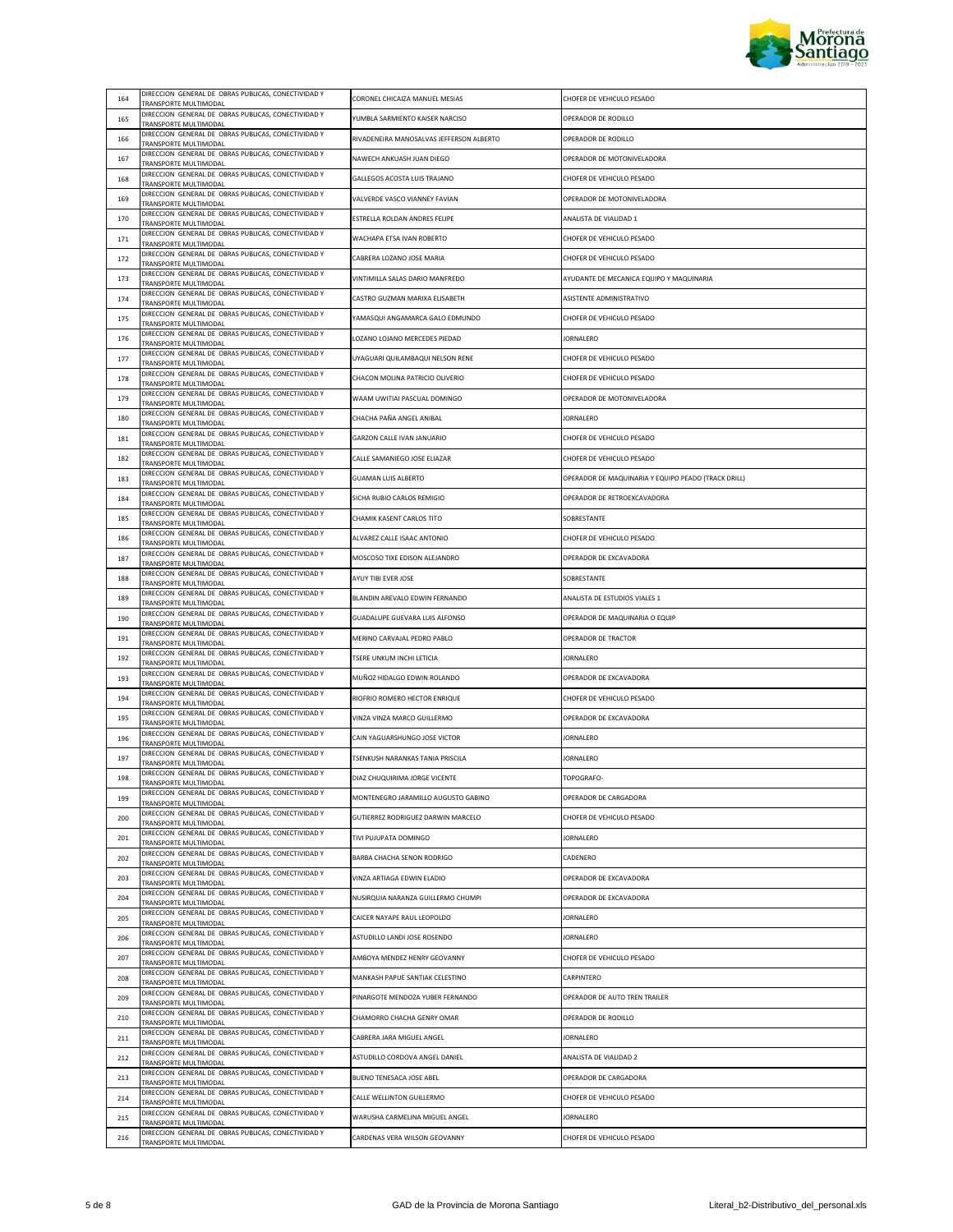

| 164 | DIRECCION GENERAL DE OBRAS PUBLICAS, CONECTIVIDAD Y<br>TRANSPORTE MULTIMODAL        | CORONEL CHICAIZA MANUEL MESIAS           | CHOFER DE VEHICULO PESADO                           |
|-----|-------------------------------------------------------------------------------------|------------------------------------------|-----------------------------------------------------|
| 165 | DIRECCION GENERAL DE OBRAS PUBLICAS, CONECTIVIDAD Y<br>TRANSPORTE MULTIMODAL        | YUMBLA SARMIENTO KAISER NARCISO          | OPERADOR DE RODILLO                                 |
| 166 | DIRECCION GENERAL DE OBRAS PUBLICAS, CONECTIVIDAD Y<br>TRANSPORTE MULTIMODAL        | RIVADENEIRA MANOSALVAS JEFFERSON ALBERTO | OPERADOR DE RODILLO                                 |
| 167 | DIRECCION GENERAL DE OBRAS PUBLICAS, CONECTIVIDAD Y<br>TRANSPORTE MULTIMODAL        | NAWECH ANKUASH JUAN DIEGO                | OPERADOR DE MOTONIVELADORA                          |
| 168 | DIRECCION GENERAL DE OBRAS PUBLICAS, CONECTIVIDAD Y<br>TRANSPORTE MULTIMODAL        | GALLEGOS ACOSTA LUIS TRAJANO             | CHOFER DE VEHICULO PESADO                           |
| 169 | DIRECCION GENERAL DE OBRAS PUBLICAS, CONECTIVIDAD Y<br>TRANSPORTE MULTIMODAL        | VALVERDE VASCO VIANNEY FAVIAN            | OPERADOR DE MOTONIVELADORA                          |
| 170 | DIRECCION GENERAL DE OBRAS PUBLICAS, CONECTIVIDAD Y<br>TRANSPORTE MULTIMODAL        | ESTRELLA ROLDAN ANDRES FELIPE            | ANALISTA DE VIALIDAD 1                              |
| 171 | DIRECCION GENERAL DE OBRAS PUBLICAS, CONECTIVIDAD Y<br>TRANSPORTE MULTIMODAL        | WACHAPA ETSA IVAN ROBERTO                | CHOFER DE VEHICULO PESADO                           |
| 172 | DIRECCION GENERAL DE OBRAS PUBLICAS, CONECTIVIDAD Y<br>TRANSPORTE MULTIMODAL        | CABRERA LOZANO JOSE MARIA                | CHOFER DE VEHICULO PESADO                           |
| 173 | DIRECCION GENERAL DE OBRAS PUBLICAS, CONECTIVIDAD Y<br>TRANSPORTE MULTIMODAL        | VINTIMILLA SALAS DARIO MANFREDO          | AYUDANTE DE MECANICA EQUIPO Y MAQUINARIA            |
| 174 | DIRECCION GENERAL DE OBRAS PUBLICAS, CONECTIVIDAD Y<br>TRANSPORTE MULTIMODAL        | CASTRO GUZMAN MARIXA ELISABETH           | ASISTENTE ADMINISTRATIVO                            |
| 175 | DIRECCION GENERAL DE OBRAS PUBLICAS, CONECTIVIDAD Y                                 | YAMASQUI ANGAMARCA GALO EDMUNDO          | CHOFER DE VEHICULO PESADO                           |
| 176 | TRANSPORTE MULTIMODAL<br>DIRECCION GENERAL DE OBRAS PUBLICAS, CONECTIVIDAD Y        | LOZANO LOJANO MERCEDES PIEDAD            | <b>JORNALERO</b>                                    |
| 177 | TRANSPORTE MULTIMODAL<br>DIRECCION GENERAL DE OBRAS PUBLICAS, CONECTIVIDAD Y        | UYAGUARI QUILAMBAQUI NELSON RENE         | CHOFER DE VEHICULO PESADO                           |
| 178 | <b>FRANSPORTE MULTIMODAL</b><br>DIRECCION GENERAL DE OBRAS PUBLICAS, CONECTIVIDAD Y | CHACON MOLINA PATRICIO OLIVERIO          | CHOFER DE VEHICULO PESADO                           |
| 179 | TRANSPORTE MULTIMODAL<br>DIRECCION GENERAL DE OBRAS PUBLICAS, CONECTIVIDAD Y        | WAAM UWITIAI PASCUAL DOMINGO             | OPERADOR DE MOTONIVELADORA                          |
| 180 | TRANSPORTE MULTIMODAL<br>DIRECCION GENERAL DE OBRAS PUBLICAS, CONECTIVIDAD Y        | CHACHA PAÑA ANGEL ANIBAL                 | JORNALERO                                           |
| 181 | TRANSPORTE MULTIMODAL<br>DIRECCION GENERAL DE OBRAS PUBLICAS, CONECTIVIDAD Y        | GARZON CALLE IVAN JANUARIO               | CHOFER DE VEHICULO PESADO                           |
| 182 | TRANSPORTE MULTIMODAL<br>DIRECCION GENERAL DE OBRAS PUBLICAS, CONECTIVIDAD Y        | CALLE SAMANIEGO JOSE ELIAZAR             | CHOFER DE VEHICULO PESADO                           |
|     | TRANSPORTE MULTIMODAL<br>DIRECCION GENERAL DE OBRAS PUBLICAS, CONECTIVIDAD Y        | <b>GUAMAN LUIS ALBERTO</b>               | OPERADOR DE MAQUINARIA Y EQUIPO PEADO (TRACK DRILL) |
| 183 | TRANSPORTE MULTIMODAL<br>DIRECCION GENERAL DE OBRAS PUBLICAS, CONECTIVIDAD Y        |                                          |                                                     |
| 184 | TRANSPORTE MULTIMODAL<br>DIRECCION GENERAL DE OBRAS PUBLICAS, CONECTIVIDAD Y        | SICHA RUBIO CARLOS REMIGIO               | OPERADOR DE RETROEXCAVADORA                         |
| 185 | TRANSPORTE MULTIMODAL<br>DIRECCION GENERAL DE OBRAS PUBLICAS, CONECTIVIDAD Y        | CHAMIK KASENT CARLOS TITO                | SOBRESTANTE                                         |
| 186 | TRANSPORTE MULTIMODAL<br>DIRECCION GENERAL DE OBRAS PUBLICAS, CONECTIVIDAD Y        | ALVAREZ CALLE ISAAC ANTONIO              | CHOFER DE VEHICULO PESADO                           |
| 187 | TRANSPORTE MULTIMODAL<br>DIRECCION GENERAL DE OBRAS PUBLICAS, CONECTIVIDAD Y        | MOSCOSO TIXE EDISON ALEJANDRO            | OPERADOR DE EXCAVADORA                              |
| 188 | TRANSPORTE MULTIMODAL<br>DIRECCION GENERAL DE OBRAS PUBLICAS, CONECTIVIDAD Y        | AYUY TIBI EVER JOSE                      | SOBRESTANTE                                         |
| 189 | TRANSPORTE MULTIMODAL<br>DIRECCION GENERAL DE OBRAS PUBLICAS, CONECTIVIDAD Y        | BLANDIN AREVALO EDWIN FERNANDO           | ANALISTA DE ESTUDIOS VIALES 1                       |
| 190 | TRANSPORTE MULTIMODAL<br>DIRECCION GENERAL DE OBRAS PUBLICAS, CONECTIVIDAD Y        | GUADALUPE GUEVARA LUIS ALFONSO           | OPERADOR DE MAQUINARIA O EQUIP                      |
| 191 | TRANSPORTE MULTIMODAL                                                               | MERINO CARVAJAL PEDRO PABLO              | OPERADOR DE TRACTOR                                 |
| 192 | DIRECCION GENERAL DE OBRAS PUBLICAS, CONECTIVIDAD Y<br>TRANSPORTE MULTIMODAL        | TSERE UNKUM INCHI LETICIA                | <b>JORNALERO</b>                                    |
| 193 | DIRECCION GENERAL DE OBRAS PUBLICAS, CONECTIVIDAD Y<br>TRANSPORTE MULTIMODAL        | MUÑOZ HIDALGO EDWIN ROLANDO              | OPERADOR DE EXCAVADORA                              |
| 194 | DIRECCION GENERAL DE OBRAS PUBLICAS, CONECTIVIDAD Y<br>TRANSPORTE MULTIMODAL        | RIOFRIO ROMERO HECTOR ENRIQUE            | CHOFER DE VEHICULO PESADO                           |
| 195 | DIRECCION GENERAL DE OBRAS PUBLICAS, CONECTIVIDAD Y<br>TRANSPORTE MULTIMODAL        | VINZA VINZA MARCO GUILLERMO              | OPERADOR DE EXCAVADORA                              |
| 196 | DIRECCION GENERAL DE OBRAS PUBLICAS, CONECTIVIDAD Y<br>TRANSPORTE MULTIMODAL        | CAIN YAGUARSHUNGO JOSE VICTOR            | JORNALERO                                           |
| 197 | DIRECCION GENERAL DE OBRAS PUBLICAS, CONECTIVIDAD Y<br>TRANSPORTE MULTIMODAL        | TSENKUSH NARANKAS TANIA PRISCILA         | <b>JORNALERO</b>                                    |
| 198 | DIRECCION GENERAL DE OBRAS PUBLICAS, CONECTIVIDAD Y<br><b>FRANSPORTE MULTIMODAL</b> | DIAZ CHUQUIRIMA JORGE VICENTE            | TOPOGRAFO-                                          |
| 199 | DIRECCION GENERAL DE OBRAS PUBLICAS, CONECTIVIDAD Y<br>TRANSPORTE MULTIMODAL        | MONTENEGRO JARAMILLO AUGUSTO GABINO      | OPERADOR DE CARGADORA                               |
| 200 | DIRECCION GENERAL DE OBRAS PUBLICAS, CONECTIVIDAD Y<br>TRANSPORTE MULTIMODAL        | GUTIERREZ RODRIGUEZ DARWIN MARCELO       | CHOFER DE VEHICULO PESADO                           |
| 201 | DIRECCION GENERAL DE OBRAS PUBLICAS, CONECTIVIDAD Y<br>TRANSPORTE MULTIMODAL        | TIVI PUJUPATA DOMINGO                    | <b>JORNALERO</b>                                    |
| 202 | DIRECCION GENERAL DE OBRAS PUBLICAS, CONECTIVIDAD Y<br>TRANSPORTE MULTIMODAL        | BARBA CHACHA SENON RODRIGO               | CADENERO                                            |
| 203 | DIRECCION GENERAL DE OBRAS PUBLICAS, CONECTIVIDAD Y<br>TRANSPORTE MULTIMODAL        | VINZA ARTIAGA EDWIN ELADIO               | OPERADOR DE EXCAVADORA                              |
| 204 | DIRECCION GENERAL DE OBRAS PUBLICAS, CONECTIVIDAD Y<br>TRANSPORTE MULTIMODAL        | NUSIRQUIA NARANZA GUILLERMO CHUMPI       | OPERADOR DE EXCAVADORA                              |
| 205 | DIRECCION GENERAL DE OBRAS PUBLICAS, CONECTIVIDAD Y<br><b>FRANSPORTE MULTIMODAL</b> | CAICER NAYAPE RAUL LEOPOLDO              | JORNALERO                                           |
| 206 | DIRECCION GENERAL DE OBRAS PUBLICAS, CONECTIVIDAD Y<br><b>FRANSPORTE MULTIMODAL</b> | ASTUDILLO LANDI JOSE ROSENDO             | <b>JORNALERO</b>                                    |
| 207 | DIRECCION GENERAL DE OBRAS PUBLICAS, CONECTIVIDAD Y<br>TRANSPORTE MULTIMODAL        | AMBOYA MENDEZ HENRY GEOVANNY             | CHOFER DE VEHICULO PESADO                           |
| 208 | DIRECCION GENERAL DE OBRAS PUBLICAS, CONECTIVIDAD Y                                 | MANKASH PAPUE SANTIAK CELESTINO          | CARPINTFRO                                          |
| 209 | TRANSPORTE MULTIMODAL<br>DIRECCION GENERAL DE OBRAS PUBLICAS, CONECTIVIDAD Y        | PINARGOTE MENDOZA YUBER FERNANDO         | OPERADOR DE AUTO TREN TRAILER                       |
| 210 | TRANSPORTE MULTIMODAL<br>DIRECCION GENERAL DE OBRAS PUBLICAS, CONECTIVIDAD Y        | CHAMORRO CHACHA GENRY OMAR               | OPERADOR DE RODILLO                                 |
| 211 | TRANSPORTE MULTIMODAL<br>DIRECCION GENERAL DE OBRAS PUBLICAS, CONECTIVIDAD Y        | CABRERA JARA MIGUEL ANGEL                | <b>JORNALERO</b>                                    |
| 212 | TRANSPORTE MULTIMODAL<br>DIRECCION GENERAL DE OBRAS PUBLICAS, CONECTIVIDAD Y        | ASTUDILLO CORDOVA ANGEL DANIEL           | ANALISTA DE VIALIDAD 2                              |
| 213 | <b>FRANSPORTE MULTIMODAL</b><br>DIRECCION GENERAL DE OBRAS PUBLICAS, CONECTIVIDAD Y | BUENO TENESACA JOSE ABEL                 | OPERADOR DE CARGADORA                               |
| 214 | <b>FRANSPORTE MULTIMODAL</b><br>DIRECCION GENERAL DE OBRAS PUBLICAS, CONECTIVIDAD Y | CALLE WELLINTON GUILLERMO                | CHOFER DE VEHICULO PESADO                           |
| 215 | TRANSPORTE MULTIMODAL<br>DIRECCION GENERAL DE OBRAS PUBLICAS, CONECTIVIDAD Y        | WARUSHA CARMELINA MIGUEL ANGEL           | <b>JORNALERO</b>                                    |
| 216 | TRANSPORTE MULTIMODAL<br>DIRECCION GENERAL DE OBRAS PUBLICAS, CONECTIVIDAD Y        | CARDENAS VERA WILSON GEOVANNY            | CHOFER DE VEHICULO PESADO                           |
|     | TRANSPORTE MULTIMODAL                                                               |                                          |                                                     |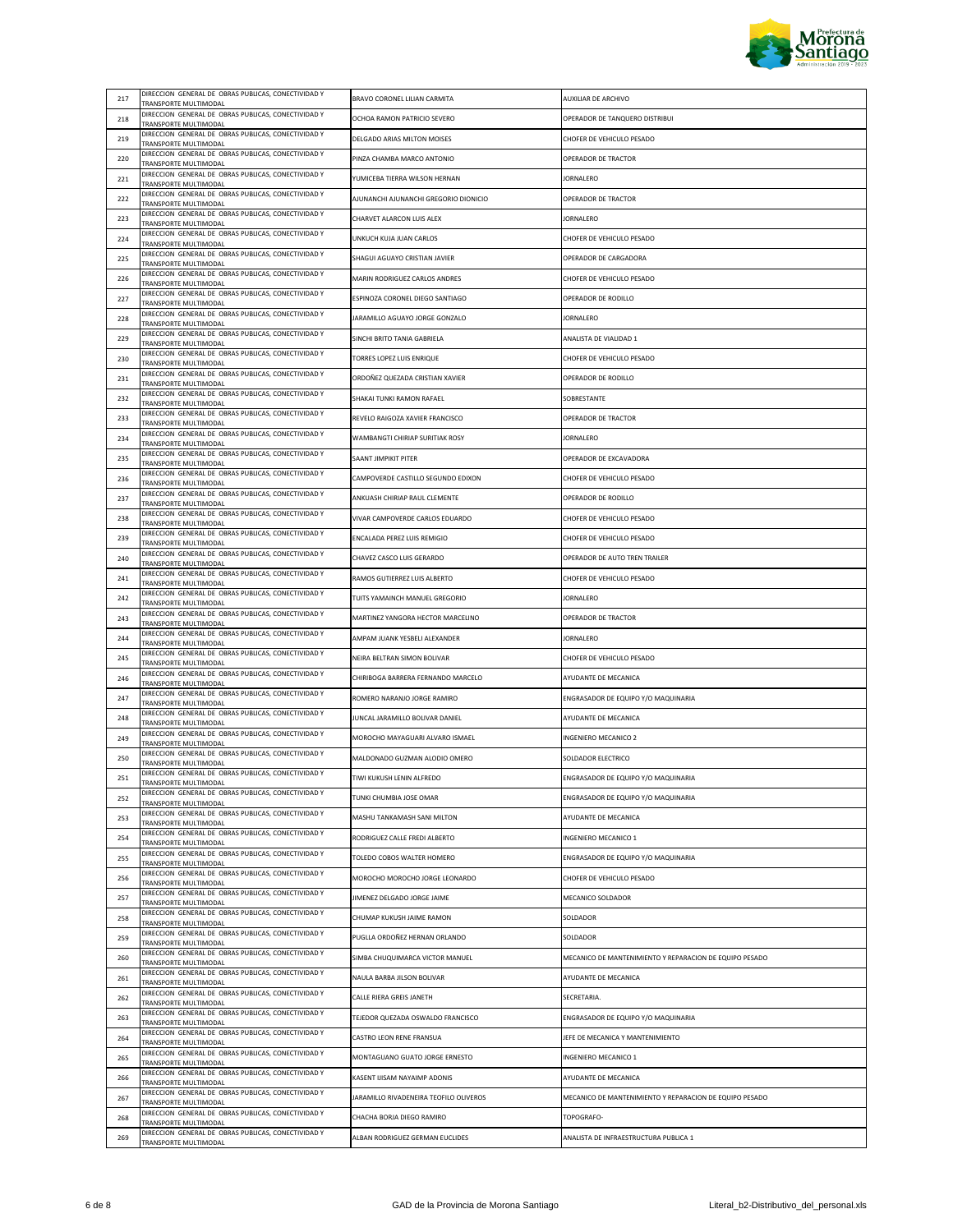

|     | DIRECCION GENERAL DE OBRAS PUBLICAS, CONECTIVIDAD Y                                  |                                                                  |                                                         |
|-----|--------------------------------------------------------------------------------------|------------------------------------------------------------------|---------------------------------------------------------|
| 217 | TRANSPORTE MULTIMODAL<br>DIRECCION GENERAL DE OBRAS PUBLICAS, CONECTIVIDAD Y         | BRAVO CORONEL LILIAN CARMITA                                     | AUXILIAR DE ARCHIVO                                     |
| 218 | TRANSPORTE MULTIMODAL                                                                | OCHOA RAMON PATRICIO SEVERO                                      | OPERADOR DE TANQUERO DISTRIBUI                          |
| 219 | DIRECCION GENERAL DE OBRAS PUBLICAS, CONECTIVIDAD Y<br>TRANSPORTE MULTIMODAL         | DELGADO ARIAS MILTON MOISES                                      | CHOFER DE VEHICULO PESADO                               |
| 220 | DIRECCION GENERAL DE OBRAS PUBLICAS, CONECTIVIDAD Y<br>TRANSPORTE MULTIMODAL         | PINZA CHAMBA MARCO ANTONIO                                       | OPERADOR DE TRACTOR                                     |
| 221 | DIRECCION GENERAL DE OBRAS PUBLICAS, CONECTIVIDAD Y<br>TRANSPORTE MULTIMODAL         | YUMICEBA TIERRA WILSON HERNAN                                    | <b>JORNALERO</b>                                        |
| 222 | DIRECCION GENERAL DE OBRAS PUBLICAS, CONECTIVIDAD Y<br>TRANSPORTE MULTIMODAL         | AJUNANCHI AJUNANCHI GREGORIO DIONICIO                            | OPERADOR DE TRACTOR                                     |
| 223 | DIRECCION GENERAL DE OBRAS PUBLICAS, CONECTIVIDAD Y<br>TRANSPORTE MULTIMODAL         | CHARVET ALARCON LUIS ALEX                                        | <b>JORNALERO</b>                                        |
| 224 | DIRECCION GENERAL DE OBRAS PUBLICAS, CONECTIVIDAD Y<br>TRANSPORTE MULTIMODAL         | UNKUCH KUJA JUAN CARLOS                                          | CHOFER DE VEHICULO PESADO                               |
| 225 | DIRECCION GENERAL DE OBRAS PUBLICAS, CONECTIVIDAD Y<br>TRANSPORTE MULTIMODAL         | SHAGUI AGUAYO CRISTIAN JAVIER                                    | OPERADOR DE CARGADORA                                   |
| 226 | DIRECCION GENERAL DE OBRAS PUBLICAS, CONECTIVIDAD Y<br>TRANSPORTE MULTIMODAL         | MARIN RODRIGUEZ CARLOS ANDRES                                    | CHOFER DE VEHICULO PESADO                               |
| 227 | DIRECCION GENERAL DE OBRAS PUBLICAS, CONECTIVIDAD Y<br>TRANSPORTE MULTIMODAL         | ESPINOZA CORONEL DIEGO SANTIAGO                                  | OPERADOR DE RODILLO                                     |
| 228 | DIRECCION GENERAL DE OBRAS PUBLICAS, CONECTIVIDAD Y<br>TRANSPORTE MULTIMODAL         | JARAMILLO AGUAYO JORGE GONZALO                                   | <b>JORNALERO</b>                                        |
| 229 | DIRECCION GENERAL DE OBRAS PUBLICAS, CONECTIVIDAD Y<br>TRANSPORTE MULTIMODAL         | SINCHI BRITO TANIA GABRIELA                                      | ANALISTA DE VIALIDAD 1                                  |
| 230 | DIRECCION GENERAL DE OBRAS PUBLICAS, CONECTIVIDAD Y                                  | TORRES LOPEZ LUIS ENRIQUE                                        | CHOFER DE VEHICULO PESADO                               |
| 231 | TRANSPORTE MULTIMODAL<br>DIRECCION GENERAL DE OBRAS PUBLICAS, CONECTIVIDAD Y         | ORDOÑEZ QUEZADA CRISTIAN XAVIER                                  | OPERADOR DE RODILLO                                     |
| 232 | TRANSPORTE MULTIMODAL<br>DIRECCION GENERAL DE OBRAS PUBLICAS, CONECTIVIDAD Y         | SHAKAI TUNKI RAMON RAFAEL                                        | SOBRESTANTE                                             |
| 233 | TRANSPORTE MULTIMODAL<br>DIRECCION GENERAL DE OBRAS PUBLICAS, CONECTIVIDAD Y         | REVELO RAIGOZA XAVIER FRANCISCO                                  | OPERADOR DE TRACTOR                                     |
| 234 | TRANSPORTE MULTIMODAL<br>DIRECCION GENERAL DE OBRAS PUBLICAS, CONECTIVIDAD Y         | WAMBANGTI CHIRIAP SURITIAK ROSY                                  | JORNALERO                                               |
| 235 | TRANSPORTE MULTIMODAL<br>DIRECCION GENERAL DE OBRAS PUBLICAS, CONECTIVIDAD Y         | SAANT JIMPIKIT PITER                                             | OPERADOR DE EXCAVADORA                                  |
| 236 | TRANSPORTE MULTIMODAL<br>DIRECCION GENERAL DE OBRAS PUBLICAS, CONECTIVIDAD Y         | CAMPOVERDE CASTILLO SEGUNDO EDIXON                               | CHOFER DE VEHICULO PESADO                               |
|     | TRANSPORTE MULTIMODAL<br>DIRECCION GENERAL DE OBRAS PUBLICAS, CONECTIVIDAD Y         |                                                                  | OPERADOR DE RODILLO                                     |
| 237 | TRANSPORTE MULTIMODAL<br>DIRECCION GENERAL DE OBRAS PUBLICAS, CONECTIVIDAD Y         | ANKUASH CHIRIAP RAUL CLEMENTE<br>VIVAR CAMPOVERDE CARLOS EDUARDO |                                                         |
| 238 | TRANSPORTE MULTIMODAL<br>DIRECCION GENERAL DE OBRAS PUBLICAS, CONECTIVIDAD Y         |                                                                  | CHOFER DE VEHICULO PESADO                               |
| 239 | TRANSPORTE MULTIMODAL<br>DIRECCION GENERAL DE OBRAS PUBLICAS, CONECTIVIDAD Y         | ENCALADA PEREZ LUIS REMIGIO                                      | CHOFER DE VEHICULO PESADO                               |
| 240 | TRANSPORTE MULTIMODAL<br>DIRECCION GENERAL DE OBRAS PUBLICAS, CONECTIVIDAD Y         | CHAVEZ CASCO LUIS GERARDO                                        | OPERADOR DE AUTO TREN TRAILER                           |
| 241 | TRANSPORTE MULTIMODAL<br>DIRECCION GENERAL DE OBRAS PUBLICAS, CONECTIVIDAD Y         | RAMOS GUTIERREZ LUIS ALBERTO                                     | CHOFER DE VEHICULO PESADO                               |
| 242 | TRANSPORTE MULTIMODAL<br>DIRECCION GENERAL DE OBRAS PUBLICAS, CONECTIVIDAD Y         | TUITS YAMAINCH MANUEL GREGORIO                                   | <b>JORNALERO</b>                                        |
| 243 | TRANSPORTE MULTIMODAL<br>DIRECCION GENERAL DE OBRAS PUBLICAS, CONECTIVIDAD Y         | MARTINEZ YANGORA HECTOR MARCELINO                                | OPERADOR DE TRACTOR                                     |
| 244 | TRANSPORTE MULTIMODAL                                                                | AMPAM JUANK YESBELI ALEXANDER                                    | <b>JORNALERO</b>                                        |
| 245 | DIRECCION GENERAL DE OBRAS PUBLICAS, CONECTIVIDAD Y<br>TRANSPORTE MULTIMODAL         | NEIRA BELTRAN SIMON BOLIVAR                                      | CHOFER DE VEHICULO PESADO                               |
| 246 | DIRECCION GENERAL DE OBRAS PUBLICAS, CONECTIVIDAD Y<br>TRANSPORTE MULTIMODAL         | CHIRIBOGA BARRERA FERNANDO MARCELO                               | AYUDANTE DE MECANICA                                    |
| 247 | DIRECCION GENERAL DE OBRAS PUBLICAS, CONECTIVIDAD Y<br>TRANSPORTE MULTIMODAL         | ROMERO NARANJO JORGE RAMIRO                                      | ENGRASADOR DE EQUIPO Y/O MAQUINARIA                     |
| 248 | DIRECCION GENERAL DE OBRAS PUBLICAS, CONECTIVIDAD Y<br>TRANSPORTE MULTIMODAL         | JUNCAL JARAMILLO BOLIVAR DANIEL                                  | AYUDANTE DE MECANICA                                    |
| 249 | DIRECCION GENERAL DE OBRAS PUBLICAS, CONECTIVIDAD Y<br>TRANSPORTE MULTIMODAL         | MOROCHO MAYAGUARI ALVARO ISMAEL                                  | INGENIERO MECANICO 2                                    |
| 250 | DIRECCION GENERAL DE OBRAS PUBLICAS, CONECTIVIDAD Y<br>TRANSPORTE MULTIMODAL         | MALDONADO GUZMAN ALODIO OMERO                                    | SOLDADOR ELECTRICO                                      |
| 251 | DIRECCION GENERAL DE OBRAS PUBLICAS, CONECTIVIDAD Y<br><b>TRANSPORTE MILITIMODAL</b> | TIWI KUKUSH LENIN ALFREDO                                        | ENGRASADOR DE EQUIPO Y/O MAQUINARIA                     |
| 252 | DIRECCION GENERAL DE OBRAS PUBLICAS, CONECTIVIDAD Y<br>TRANSPORTE MULTIMODAL         | TUNKI CHUMBIA JOSE OMAR                                          | ENGRASADOR DE EQUIPO Y/O MAQUINARIA                     |
| 253 | DIRECCION GENERAL DE OBRAS PUBLICAS, CONECTIVIDAD Y<br>TRANSPORTE MULTIMODAL         | MASHU TANKAMASH SANI MILTON                                      | AYUDANTE DE MECANICA                                    |
| 254 | DIRECCION GENERAL DE OBRAS PUBLICAS, CONECTIVIDAD Y<br>TRANSPORTE MULTIMODAL         | RODRIGUEZ CALLE FREDI ALBERTO                                    | INGENIERO MECANICO 1                                    |
| 255 | DIRECCION GENERAL DE OBRAS PUBLICAS, CONECTIVIDAD Y<br>TRANSPORTE MULTIMODAL         | TOLEDO COBOS WALTER HOMERO                                       | ENGRASADOR DE EQUIPO Y/O MAQUINARIA                     |
| 256 | DIRECCION GENERAL DE OBRAS PUBLICAS, CONECTIVIDAD Y<br>TRANSPORTE MULTIMODAL         | MOROCHO MOROCHO JORGE LEONARDO                                   | CHOFER DE VEHICULO PESADO                               |
| 257 | DIRECCION GENERAL DE OBRAS PUBLICAS, CONECTIVIDAD Y<br>TRANSPORTE MULTIMODAL         | JIMENEZ DELGADO JORGE JAIME                                      | MECANICO SOLDADOR                                       |
| 258 | DIRECCION GENERAL DE OBRAS PUBLICAS, CONECTIVIDAD Y<br>TRANSPORTE MULTIMODAL         | CHUMAP KUKUSH JAIME RAMON                                        | SOLDADOR                                                |
| 259 | DIRECCION GENERAL DE OBRAS PUBLICAS, CONECTIVIDAD Y<br>TRANSPORTE MULTIMODAL         | PUGLLA ORDOÑEZ HERNAN ORLANDO                                    | SOLDADOR                                                |
| 260 | DIRECCION GENERAL DE OBRAS PUBLICAS, CONECTIVIDAD Y<br>TRANSPORTE MULTIMODAL         | SIMBA CHUQUIMARCA VICTOR MANUEL                                  | MECANICO DE MANTENIMIENTO Y REPARACION DE EQUIPO PESADO |
| 261 | DIRECCION GENERAL DE OBRAS PUBLICAS, CONECTIVIDAD Y<br>TRANSPORTE MULTIMODAL         | NAULA BARBA JILSON BOLIVAR                                       | AYUDANTE DE MECANICA                                    |
| 262 | DIRECCION GENERAL DE OBRAS PUBLICAS, CONECTIVIDAD Y                                  | CALLE RIERA GREIS JANETH                                         | SECRETARIA.                                             |
| 263 | TRANSPORTE MULTIMODAL<br>DIRECCION GENERAL DE OBRAS PUBLICAS, CONECTIVIDAD Y         | TEJEDOR QUEZADA OSWALDO FRANCISCO                                | ENGRASADOR DE EQUIPO Y/O MAQUINARIA                     |
| 264 | TRANSPORTE MULTIMODAL<br>DIRECCION GENERAL DE OBRAS PUBLICAS, CONECTIVIDAD Y         | CASTRO LEON RENE FRANSUA                                         | JEFE DE MECANICA Y MANTENIMIENTO                        |
| 265 | TRANSPORTE MULTIMODAL<br>DIRECCION GENERAL DE OBRAS PUBLICAS, CONECTIVIDAD Y         | MONTAGUANO GUATO JORGE ERNESTO                                   | INGENIERO MECANICO 1                                    |
| 266 | TRANSPORTE MULTIMODAL<br>DIRECCION GENERAL DE OBRAS PUBLICAS, CONECTIVIDAD Y         | KASENT IJISAM NAYAIMP ADONIS                                     | AYUDANTE DE MECANICA                                    |
| 267 | TRANSPORTE MULTIMODAL<br>DIRECCION GENERAL DE OBRAS PUBLICAS, CONECTIVIDAD Y         | JARAMILLO RIVADENEIRA TEOFILO OLIVEROS                           | MECANICO DE MANTENIMIENTO Y REPARACION DE EQUIPO PESADO |
|     | <b>FRANSPORTE MULTIMODAL</b><br>DIRECCION GENERAL DE OBRAS PUBLICAS, CONECTIVIDAD Y  |                                                                  |                                                         |
| 268 | TRANSPORTE MULTIMODAL<br>DIRECCION GENERAL DE OBRAS PUBLICAS, CONECTIVIDAD Y         | CHACHA BORJA DIEGO RAMIRO                                        | TOPOGRAFO-                                              |
| 269 | TRANSPORTE MULTIMODAL                                                                | ALBAN RODRIGUEZ GERMAN EUCLIDES                                  | ANALISTA DE INFRAESTRUCTURA PUBLICA 1                   |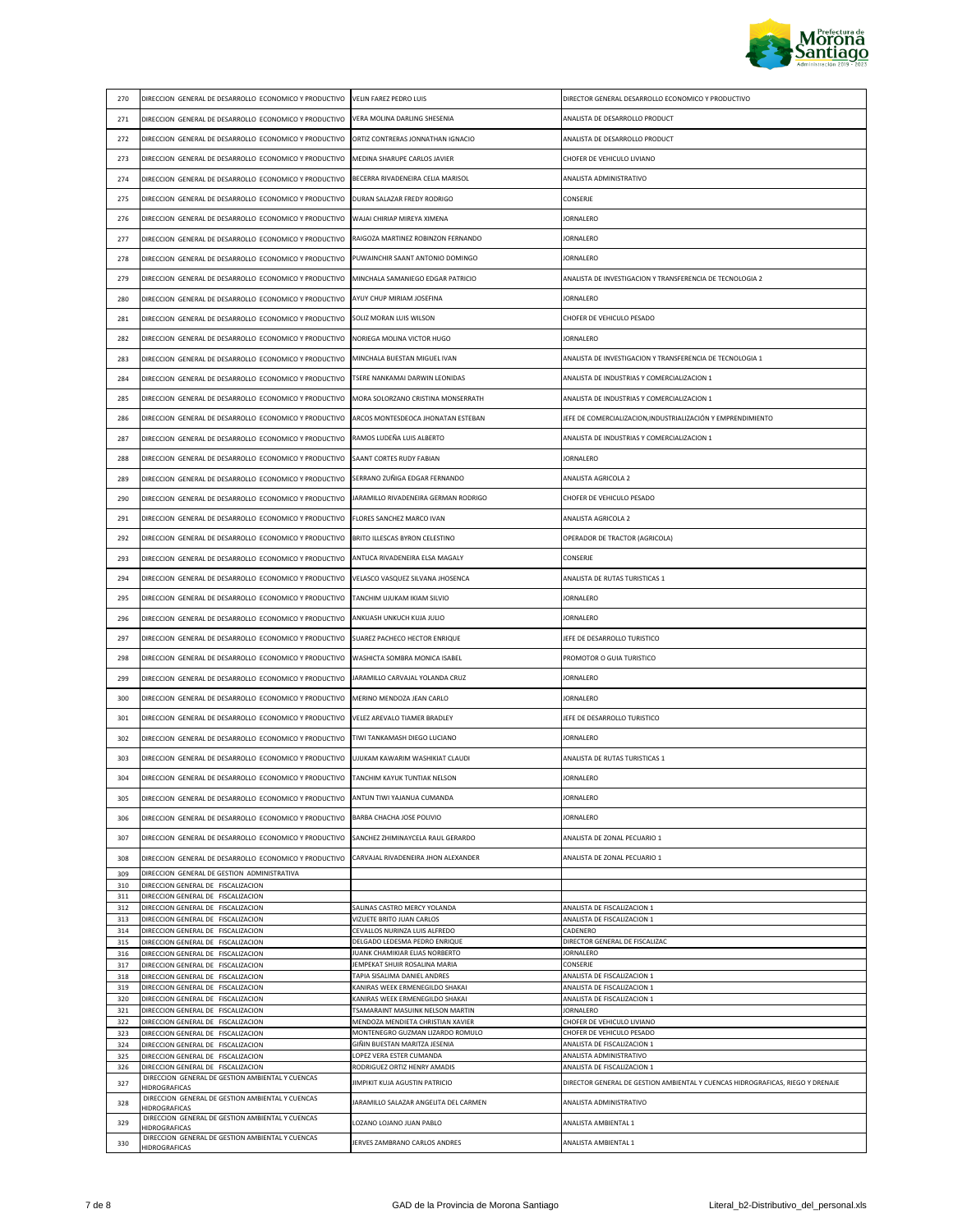

| 270        | DIRECCION GENERAL DE DESARROLLO ECONOMICO Y PRODUCTIVO                                 | VELIN FAREZ PEDRO LUIS                                                | DIRECTOR GENERAL DESARROLLO ECONOMICO Y PRODUCTIVO                             |
|------------|----------------------------------------------------------------------------------------|-----------------------------------------------------------------------|--------------------------------------------------------------------------------|
| 271        | DIRECCION GENERAL DE DESARROLLO ECONOMICO Y PRODUCTIVO                                 | VERA MOLINA DARLING SHESENIA                                          | ANALISTA DE DESARROLLO PRODUCT                                                 |
| 272        | DIRECCION GENERAL DE DESARROLLO ECONOMICO Y PRODUCTIVO                                 | ORTIZ CONTRERAS JONNATHAN IGNACIO                                     | ANALISTA DE DESARROLLO PRODUCT                                                 |
| 273        | DIRECCION GENERAL DE DESARROLLO ECONOMICO Y PRODUCTIVO                                 | MEDINA SHARUPE CARLOS JAVIER                                          | CHOFER DE VEHICULO LIVIANO                                                     |
| 274        | DIRECCION GENERAL DE DESARROLLO ECONOMICO Y PRODUCTIVO                                 | BECERRA RIVADENEIRA CELIA MARISOL                                     | ANALISTA ADMINISTRATIVO                                                        |
| 275        | DIRECCION GENERAL DE DESARROLLO ECONOMICO Y PRODUCTIVO                                 | DURAN SALAZAR FREDY RODRIGO                                           | CONSERJE                                                                       |
| 276        | DIRECCION GENERAL DE DESARROLLO ECONOMICO Y PRODUCTIVO                                 | WAJAI CHIRIAP MIREYA XIMENA                                           | <b>JORNALERO</b>                                                               |
| 277        | DIRECCION GENERAL DE DESARROLLO ECONOMICO Y PRODUCTIVO                                 | RAIGOZA MARTINEZ ROBINZON FERNANDO                                    | <b>JORNALERO</b>                                                               |
| 278        | DIRECCION GENERAL DE DESARROLLO ECONOMICO Y PRODUCTIVO                                 | PUWAINCHIR SAANT ANTONIO DOMINGO                                      | <b>JORNALERO</b>                                                               |
|            |                                                                                        | MINCHALA SAMANIEGO EDGAR PATRICIO                                     | ANALISTA DE INVESTIGACION Y TRANSFERENCIA DE TECNOLOGIA 2                      |
| 279        | DIRECCION GENERAL DE DESARROLLO ECONOMICO Y PRODUCTIVO                                 |                                                                       |                                                                                |
| 280        | DIRECCION GENERAL DE DESARROLLO ECONOMICO Y PRODUCTIVO                                 | AYUY CHUP MIRIAM JOSEFINA                                             | <b>JORNALERO</b>                                                               |
| 281        | DIRECCION GENERAL DE DESARROLLO ECONOMICO Y PRODUCTIVO                                 | SOLIZ MORAN LUIS WILSON                                               | CHOFER DE VEHICULO PESADO                                                      |
| 282        | DIRECCION GENERAL DE DESARROLLO ECONOMICO Y PRODUCTIVO                                 | NORIEGA MOLINA VICTOR HUGO                                            | <b>JORNALERO</b>                                                               |
| 283        | DIRECCION GENERAL DE DESARROLLO ECONOMICO Y PRODUCTIVO                                 | MINCHALA BUESTAN MIGUEL IVAN                                          | ANALISTA DE INVESTIGACION Y TRANSFERENCIA DE TECNOLOGIA 1                      |
| 284        | DIRECCION GENERAL DE DESARROLLO ECONOMICO Y PRODUCTIVO                                 | TSERE NANKAMAI DARWIN LEONIDAS                                        | ANALISTA DE INDUSTRIAS Y COMERCIALIZACION 1                                    |
| 285        | DIRECCION GENERAL DE DESARROLLO ECONOMICO Y PRODUCTIVO                                 | MORA SOLORZANO CRISTINA MONSERRATH                                    | ANALISTA DE INDUSTRIAS Y COMERCIALIZACION 1                                    |
| 286        | DIRECCION GENERAL DE DESARROLLO ECONOMICO Y PRODUCTIVO                                 | ARCOS MONTESDEOCA JHONATAN ESTEBAN                                    | JEFE DE COMERCIALIZACION, INDUSTRIALIZACIÓN Y EMPRENDIMIENTO                   |
| 287        | DIRECCION GENERAL DE DESARROLLO ECONOMICO Y PRODUCTIVO                                 | RAMOS LUDEÑA LUIS ALBERTO                                             | ANALISTA DE INDUSTRIAS Y COMERCIALIZACION 1                                    |
| 288        | DIRECCION GENERAL DE DESARROLLO ECONOMICO Y PRODUCTIVO                                 | SAANT CORTES RUDY FABIAN                                              | JORNALERO                                                                      |
| 289        | DIRECCION GENERAL DE DESARROLLO ECONOMICO Y PRODUCTIVO                                 | SERRANO ZUÑIGA EDGAR FERNANDO                                         | ANALISTA AGRICOLA 2                                                            |
| 290        | DIRECCION GENERAL DE DESARROLLO ECONOMICO Y PRODUCTIVO                                 | JARAMILLO RIVADENEIRA GERMAN RODRIGO                                  | CHOFER DE VEHICULO PESADO                                                      |
| 291        | DIRECCION GENERAL DE DESARROLLO ECONOMICO Y PRODUCTIVO                                 | FLORES SANCHEZ MARCO IVAN                                             | ANALISTA AGRICOLA 2                                                            |
| 292        | DIRECCION GENERAL DE DESARROLLO ECONOMICO Y PRODUCTIVO                                 | BRITO ILLESCAS BYRON CELESTINO                                        | OPERADOR DE TRACTOR (AGRICOLA)                                                 |
| 293        | DIRECCION GENERAL DE DESARROLLO ECONOMICO Y PRODUCTIVO                                 | ANTUCA RIVADENEIRA ELSA MAGALY                                        | CONSERJE                                                                       |
| 294        | DIRECCION GENERAL DE DESARROLLO ECONOMICO Y PRODUCTIVO                                 | VELASCO VASQUEZ SILVANA JHOSENCA                                      | ANALISTA DE RUTAS TURISTICAS 1                                                 |
| 295        | DIRECCION GENERAL DE DESARROLLO ECONOMICO Y PRODUCTIVO                                 | TANCHIM UJUKAM IKIAM SILVIO                                           | JORNALERO                                                                      |
|            |                                                                                        |                                                                       | <b>JORNALERO</b>                                                               |
| 296        | DIRECCION GENERAL DE DESARROLLO ECONOMICO Y PRODUCTIVO                                 | ANKUASH UNKUCH KUJA JULIO                                             |                                                                                |
| 297        | DIRECCION GENERAL DE DESARROLLO ECONOMICO Y PRODUCTIVO                                 | SUAREZ PACHECO HECTOR ENRIQUE                                         | JEFE DE DESARROLLO TURISTICO                                                   |
| 298        | DIRECCION GENERAL DE DESARROLLO ECONOMICO Y PRODUCTIVO                                 | WASHICTA SOMBRA MONICA ISABEL                                         | PROMOTOR O GUIA TURISTICO                                                      |
| 299        | DIRECCION GENERAL DE DESARROLLO ECONOMICO Y PRODUCTIVO                                 | JARAMILLO CARVAJAL YOLANDA CRUZ                                       | JORNALERO                                                                      |
| 300        | DIRECCION GENERAL DE DESARROLLO ECONOMICO Y PRODUCTIVO                                 | MERINO MENDOZA JEAN CARLO                                             | JORNALERO                                                                      |
| 301        | DIRECCION GENERAL DE DESARROLLO ECONOMICO Y PRODUCTIVO                                 | VELEZ AREVALO TIAMER BRADLEY                                          | JEFE DE DESARROLLO TURISTICO                                                   |
| 302        | DIRECCION GENERAL DE DESARROLLO ECONOMICO Y PRODUCTIVO                                 | TIWI TANKAMASH DIEGO LUCIANO                                          | JORNALERO                                                                      |
| 303        | DIRECCION GENERAL DE DESARROLLO ECONOMICO Y PRODUCTIVO                                 | UJUKAM KAWARIM WASHIKIAT CLAUDI                                       | ANALISTA DE RUTAS TURISTICAS 1                                                 |
| 304        | DIRECCION GENERAL DE DESARROLLO ECONOMICO Y PRODUCTIVO TANCHIM KAYUK TUNTIAK NELSON    |                                                                       | <b>JORNALERO</b>                                                               |
| 305        | DIRECCION GENERAL DE DESARROLLO ECONOMICO Y PRODUCTIVO                                 | ANTUN TIWI YAJANUA CUMANDA                                            | <b>JORNALERO</b>                                                               |
| 306        | DIRECCION GENERAL DE DESARROLLO ECONOMICO Y PRODUCTIVO                                 | BARBA CHACHA JOSE POLIVIO                                             | <b>JORNALERO</b>                                                               |
| 307        | DIRECCION GENERAL DE DESARROLLO ECONOMICO Y PRODUCTIVO                                 | SANCHEZ ZHIMINAYCELA RAUL GERARDO                                     | ANALISTA DE ZONAL PECUARIO 1                                                   |
| 308        | DIRECCION GENERAL DE DESARROLLO ECONOMICO Y PRODUCTIVO                                 | CARVAJAL RIVADENEIRA JHON ALEXANDER                                   | ANALISTA DE ZONAL PECUARIO 1                                                   |
| 309<br>310 | DIRECCION GENERAL DE GESTION ADMINISTRATIVA<br>DIRECCION GENERAL DE FISCALIZACION      |                                                                       |                                                                                |
| 311        | DIRECCION GENERAL DE FISCALIZACION                                                     |                                                                       |                                                                                |
| 312        | DIRECCION GENERAL DE FISCALIZACION                                                     | SALINAS CASTRO MERCY YOLANDA                                          | ANALISTA DE FISCALIZACION 1                                                    |
| 313<br>314 | DIRECCION GENERAL DE FISCALIZACION<br>DIRECCION GENERAL DE FISCALIZACION               | VIZUETE BRITO JUAN CARLOS<br>CEVALLOS NURINZA LUIS ALFREDO            | ANALISTA DE FISCALIZACION 1<br>CADENERO                                        |
| 315        | DIRECCION GENERAL DE FISCALIZACION                                                     | DELGADO LEDESMA PEDRO ENRIQUE                                         | DIRECTOR GENERAL DE FISCALIZAC                                                 |
| 316        | DIRECCION GENERAL DE FISCALIZACION                                                     | JUANK CHAMIKIAR ELIAS NORBERTO                                        | <b>JORNALERO</b>                                                               |
| 317<br>318 | DIRECCION GENERAL DE FISCALIZACION<br>DIRECCION GENERAL DE FISCALIZACION               | JEMPEKAT SHUIR ROSALINA MARIA<br>TAPIA SISALIMA DANIEL ANDRES         | CONSERJE<br>ANALISTA DE FISCALIZACION 1                                        |
| 319        | DIRECCION GENERAL DE FISCALIZACION                                                     | KANIRAS WEEK ERMENEGILDO SHAKAI                                       | ANALISTA DE FISCALIZACION 1                                                    |
| 320        | DIRECCION GENERAL DE FISCALIZACION                                                     | KANIRAS WEEK ERMENEGILDO SHAKAI                                       | ANALISTA DE FISCALIZACION 1                                                    |
| 321        | DIRECCION GENERAL DE FISCALIZACION                                                     | TSAMARAINT MASUINK NELSON MARTIN                                      | JORNALERO                                                                      |
| 322<br>323 | DIRECCION GENERAL DE FISCALIZACION<br>DIRECCION GENERAL DE FISCALIZACION               | MENDOZA MENDIETA CHRISTIAN XAVIER<br>MONTENEGRO GUZMAN LIZARDO ROMULO | CHOFER DE VEHICULO LIVIANO<br>CHOFER DE VEHICULO PESADO                        |
| 324        | DIRECCION GENERAL DE FISCALIZACION                                                     | GIÑIN BUESTAN MARITZA JESENIA                                         | ANALISTA DE FISCALIZACION 1                                                    |
| 325        | DIRECCION GENERAL DE FISCALIZACION                                                     | LOPEZ VERA ESTER CUMANDA                                              | ANALISTA ADMINISTRATIVO                                                        |
| 326        | DIRECCION GENERAL DE FISCALIZACION<br>DIRECCION GENERAL DE GESTION AMBIENTAL Y CUENCAS | RODRIGUEZ ORTIZ HENRY AMADIS                                          | ANALISTA DE FISCALIZACION 1                                                    |
| 327        | HIDROGRAFICAS<br>DIRECCION GENERAL DE GESTION AMBIENTAL Y CUENCAS                      | JIMPIKIT KUJA AGUSTIN PATRICIO                                        | DIRECTOR GENERAL DE GESTION AMBIENTAL Y CUENCAS HIDROGRAFICAS, RIEGO Y DRENAJE |
| 328        | HIDROGRAFICAS<br>DIRECCION GENERAL DE GESTION AMBIENTAL Y CUENCAS                      | JARAMILLO SALAZAR ANGELITA DEL CARMEN                                 | ANALISTA ADMINISTRATIVO                                                        |
| 329        | <b>HIDROGRAFICAS</b>                                                                   | LOZANO LOJANO JUAN PABLO                                              | ANALISTA AMBIENTAL 1                                                           |
| 330        | DIRECCION GENERAL DE GESTION AMBIENTAL Y CUENCAS<br>HIDROGRAFICAS                      | JERVES ZAMBRANO CARLOS ANDRES                                         | ANALISTA AMBIENTAL 1                                                           |